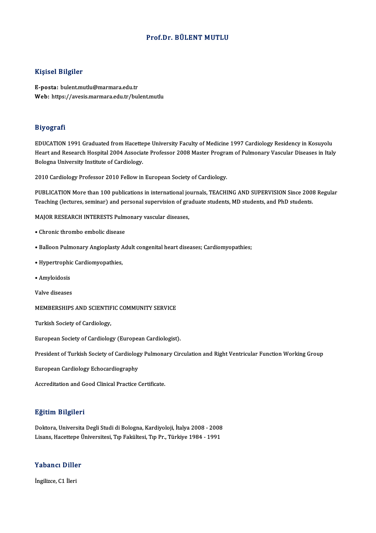#### Prof.Dr. BÜLENT MUTLU

#### Kişisel Bilgiler

E-posta: bulent.mutlu@marmara.edu.tr Web: https://avesis.marmara.edu.tr/bulent.mutlu

#### Biyografi

EDUCATION 1991 Graduated from Hacettepe University Faculty of Medicine 1997 Cardiology Residency in Kosuyolu Heart and Research Hospital 2004 Associate Professor 2008 Master Program of Pulmonary Vascular Diseases in Italy Bologna University Institute of Cardiology.

2010 Cardiology Professor 2010 Fellow in European Society of Cardiology.

2010 Cardiology Professor 2010 Fellow in European Society of Cardiology.<br>PUBLICATION More than 100 publications in international journals, TEACHING AND SUPERVISION Since 2008 Regular<br>Teaching (lectures, seminar) and person 2010 cardiology Trotessor 2010 Fellow in European Society of cardiology.<br>PUBLICATION More than 100 publications in international journals, TEACHING AND SUPERVISION Since 2008<br>Teaching (lectures, seminar) and personal super Teaching (lectures, seminar) and personal supervision of graduate students, MD students, and PhD students.

MAJOR RESEARCH INTERESTS Pulmonary vascular diseases,<br>• Chronic thrombo embolic disease

- 
- Chronic thrombo embolic disease<br>• Balloon Pulmonary Angioplasty Adult congenital heart diseases; Cardiomyopathies;
- Balloon Pulmonary Angioplasty *f*<br>• Hypertrophic Cardiomyopathies, • Hypertrophic Cardiomyopathies,
- Amyloidosis<br>Valve diseases

Valve diseases<br>MEMBERSHIPS AND SCIENTIFIC COMMUNITY SERVICE MEMBERSHIPS AND SCIENTIF<br>Turkish Society of Cardiology,

Turkish Society of Cardiology,<br>European Society of Cardiology (European Cardiologist).

European Society of Cardiology (European Cardiologist).<br>President of Turkish Society of Cardiology Pulmonary Circulation and Right Ventricular Function Working Group President of Turkish Society of Cardiolog<br>European Cardiology Echocardiography

European Cardiology Echocardiography<br>Accreditation and Good Clinical Practice Certificate.

#### Eğitim Bilgileri

<mark>Eğitim Bilgileri</mark><br>Doktora, Universita Degli Studi di Bologna, Kardiyoloji, İtalya 2008 - 2008<br>Lisans, Hassttone Üniversitesi, Tın Fakültesi, Tın Pır, Türkiye 1984, 1991 Lisans, Hargarea<br>Doktora, Universita Degli Studi di Bologna, Kardiyoloji, İtalya 2008 - 2008<br>Lisans, Hacettepe Üniversitesi, Tıp Fakültesi, Tıp Pr., Türkiye 1984 - 1991 Lisans, Hacettepe Üniversitesi, Tıp Fakültesi, Tıp Pr., Türkiye 1984 - 1991<br>Yabancı Diller

İngilizce, C1 İleri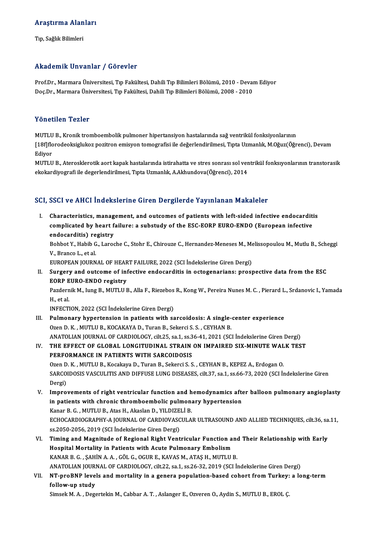# Araştırma Alanları <mark>Araştırma Alan</mark><br>Tıp, Sağlık Bilimleri

# Akademik Unvanlar / Görevler

Akademik Unvanlar / Görevler<br>Prof.Dr., Marmara Üniversitesi, Tıp Fakültesi, Dahili Tıp Bilimleri Bölümü, 2010 - Devam Ediyor<br>Des.Dr., Marmara Üniversitesi, Tıp Fakültesi, Dahili Tıp Bilimleri Bölümü, 2008, 2010 rritat olirik "oli valirar" / "abr ovror"<br>Prof.Dr., Marmara Üniversitesi, Tıp Fakültesi, Dahili Tıp Bilimleri Bölümü, 2010 - Devaı<br>Doç.Dr., Marmara Üniversitesi, Tıp Fakültesi, Dahili Tıp Bilimleri Bölümü, 2008 - 2010 Doç.Dr., Marmara Üniversitesi, Tıp Fakültesi, Dahili Tıp Bilimleri Bölümü, 2008 - 2010<br>Yönetilen Tezler

MUTLU B., Kronik tromboembolik pulmoner hipertansiyon hastalarında sağ ventrikül fonksiyonlarının 1 onotnon 1 olitor<br>MUTLU B., Kronik tromboembolik pulmoner hipertansiyon hastalarında sağ ventrikül fonksiyonlarının<br>[18f]florodeoksiglukoz pozitron emisyon tomografisi ile değerlendirilmesi, Tıpta Uzmanlık, M.Oğuz(Öğrenci MUTLU<br>[18f]flc<br>Ediyor<br>MUTLU [18f]florodeoksiglukoz pozitron emisyon tomografisi ile değerlendirilmesi, Tıpta Uzmanlık, M.Oğuz(Öğrenci), Devam<br>Ediyor<br>MUTLU B., Aterosklerotik aort kapak hastalarında istirahatta ve stres sonrası sol ventrikül fonksıyon

Ediyor<br>MUTLU B., Aterosklerotik aort kapak hastalarında istirahatta ve stres sonrası sol ver<br>ekokardiyografi ile degerlendirilmesi, Tıpta Uzmanlık, A.Akhundova(Öğrenci), 2014

# ekokardiyografi ne degerlendirilmesi, Tipla Ozmanlık, A.Akhundova(Ogrenci), 2014<br>SCI, SSCI ve AHCI İndekslerine Giren Dergilerde Yayınlanan Makaleler

CI, SSCI ve AHCI İndekslerine Giren Dergilerde Yayınlanan Makaleler<br>I. Characteristics, management, and outcomes of patients with left-sided infective endocarditis<br>complicated by beart failure: a substudy of the ESC EORR E cour ve fines inconsidently an on-block protect ray intended standardies.<br>Characteristics, management, and outcomes of patients with left-sided infective endocardition<br>complicated by heart failure: a substudy of the ESC-EO Characteristics, manag<br>complicated by heart f<br>endocarditis) registry<br><sup>Robbot V, Hobib C, Larec</sup> complicated by heart failure: a substudy of the ESC-EORP EURO-ENDO (European infective<br>endocarditis) registry<br>Bohbot Y., Habib G., Laroche C., Stohr E., Chirouze C., Hernandez-Meneses M., Melissopoulou M., Mutlu B., Schegg

endocarditis) re<br>Bohbot Y., Habib G<br>V., Branco L., et al.<br>EUROPEAN JOUPN Bohbot Y., Habib G., Laroche C., Stohr E., Chirouze C., Hernandez-Meneses M., Me<br>V., Branco L., et al.<br>EUROPEAN JOURNAL OF HEART FAILURE, 2022 (SCI İndekslerine Giren Dergi)<br>Sunganu and outgame of infective endegenditis in

EUROPEAN JOURNAL OF HEART FAILURE, 2022 (SCI İndekslerine Giren Dergi)

## V., Branco L., et al.<br>EUROPEAN JOURNAL OF HEART FAILURE, 2022 (SCI Indekslerine Giren Dergi)<br>II. Surgery and outcome of infective endocarditis in octogenarians: prospective data from the ESC Surgery and outcome of infective endocarditis in octogenarians: prospective data from the ESC<br>EORP EURO-ENDO registry<br>Pazdernik M., Iung B., MUTLU B., Alla F., Riezebos R., Kong W., Pereira Nunes M. C. , Pierard L., Srdano

EORP EURO-ENDO registry<br>Pazdernik M., Iung B., MUTLU B., Alla F., Riezebos<br>H., et al.<br>INFECTION, 2022 (SCI İndekslerine Giren Dergi) Pazdernik M., Iung B., MUTLU B., Alla F., Riezebos<br>H., et al.<br>INFECTION, 2022 (SCI İndekslerine Giren Dergi)<br>Bulmenaru bunertansian in nationts with ss

- H., et al.<br>INFECTION, 2022 (SCI Indekslerine Giren Dergi)<br>III. Pulmonary hypertension in patients with sarcoidosis: A single-center experience<br>Oren D.K., MUTHU B. KOCAKAVA D. Turan B. Sekergi S.S., CEVHAN B. Ozen D.K., MUTLU B., KOCAKAYA D., Turan B., Sekerci S.S., CEYHAN B. Pulmonary hypertension in patients with sarcoidosis: A single-center experience<br>Ozen D. K., MUTLU B., KOCAKAYA D., Turan B., Sekerci S. S., CEYHAN B.<br>ANATOLIAN JOURNAL OF CARDIOLOGY, cilt.25, sa.1, ss.36-41, 2021 (SCI İnde ANATOLIAN JOURNAL OF CARDIOLOGY, cilt.25, sa.1, ss.36-41, 2021 (SCI Indekslerine Giren Dergi)
- IV. THE EFFECT OF GLOBAL LONGITUDINAL STRAIN ON IMPAIRED SIX-MINUTE WALK TEST<br>PERFORMANCE IN PATIENTS WITH SARCOIDOSIS

Ozen D.K., MUTLU B., Kocakaya D., Turan B., Sekerci S.S., CEYHAN B., KEPEZ A., Erdogan O. SARCOIDOSIS VASCULITIS AND DIFFUSE LUNG DISEASES, cilt.37, sa.1, ss.66-73, 2020 (SCI İndekslerine Giren Dergi) SARCOIDOSIS VASCULITIS AND DIFFUSE LUNG DISEASES, cilt.37, sa.1, ss.66-73, 2020 (SCI Indekslerine Giren<br>Dergi)<br>V. Improvements of right ventricular function and hemodynamics after balloon pulmonary angioplasty<br>in patients

- Dergi)<br>Improvements of right ventricular function and hemodynamics after<br>in patients with chronic thromboembolic pulmonary hypertension<br>Kanar B.C., MUTUU B. Atas H. Akaslan D. VU DIZELLE Improvements of right ventricular function and h<br>in patients with chronic thromboembolic pulmon:<br>Kanar B. G. , MUTLU B., Atas H., Akaslan D., YILDIZELİ B.<br>ECHOCARDIOCRARHY A JOURNAL OF CARDIOVASCULA in patients with chronic thromboembolic pulmonary hypertension<br>Kanar B. G. , MUTLU B., Atas H., Akaslan D., YILDIZELİ B.<br>ECHOCARDIOGRAPHY-A JOURNAL OF CARDIOVASCULAR ULTRASOUND AND ALLIED TECHNIQUES, cilt.36, sa.11,<br>22.205 Kanar B. G. , MUTLU B., Atas H., Akaslan D., YILDIZE<br>ECHOCARDIOGRAPHY-A JOURNAL OF CARDIOVASC<br>ss.2050-2056, 2019 (SCI İndekslerine Giren Dergi)<br>Timing and Magnitude of Pagianal Bight Vent ECHOCARDIOGRAPHY-A JOURNAL OF CARDIOVASCULAR ULTRASOUND AND ALLIED TECHNIQUES, cilt.36, sa<br>ss.2050-2056, 2019 (SCI Indekslerine Giren Dergi)<br>VI. Timing and Magnitude of Regional Right Ventricular Function and Their Relatio
- ss.2050-2056, 2019 (SCI İndekslerine Giren Dergi)<br>Timing and Magnitude of Regional Right Ventricular Function a<br>Hospital Mortality in Patients with Acute Pulmonary Embolism<br>KANAR B.C. SAHİN A.A. SÖLG OCUR E. KAVASM ATASH M Timing and Magnitude of Regional Right Ventricular Function and<br>Hospital Mortality in Patients with Acute Pulmonary Embolism<br>KANAR B. G. , ŞAHİN A. A. , GÖL G., OGUR E., KAVAS M., ATAŞ H., MUTLU B.<br>ANATOLIAN JOUPNAL OF CAP Hospital Mortality in Patients with Acute Pulmonary Embolism<br>KANAR B. G. , ŞAHİN A. A. , GÖL G., OGUR E., KAVAS M., ATAŞ H., MUTLU B.<br>ANATOLIAN JOURNAL OF CARDIOLOGY, cilt.22, sa.1, ss.26-32, 2019 (SCI İndekslerine Giren D
- KANAR B. G. , ŞAHİN A. A. , GÖL G., OGUR E., KAVAS M., ATAŞ H., MUTLU B.<br>ANATOLIAN JOURNAL OF CARDIOLOGY, cilt.22, sa.1, ss.26-32, 2019 (SCI İndekslerine Giren Dergi)<br>VII. NT-proBNP levels and mortality in a genera populat ANATOLIAN JOURI<br>NT-proBNP leve<br>follow-up study<br>Simeek M A - Dega

Simsek M.A., Degertekin M., Cabbar A.T., Aslanger E., Ozveren O., Aydin S., MUTLU B., EROL Ç.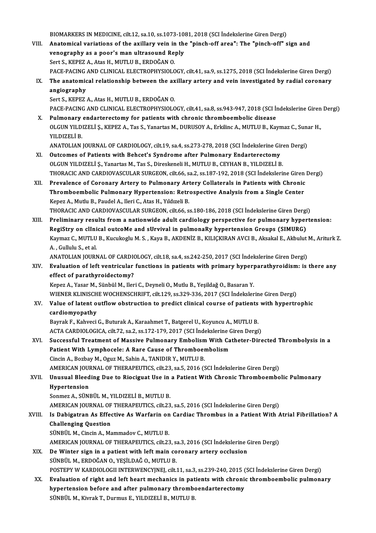BIOMARKERS INMEDICINE, cilt.12, sa.10, ss.1073-1081,2018 (SCI İndekslerineGirenDergi)

- BIOMARKERS IN MEDICINE, cilt.12, sa.10, ss.1073-1081, 2018 (SCI İndekslerine Giren Dergi)<br>VIII. Anatomical variations of the axillary vein in the "pinch-off area": The "pinch-off" sign and<br>venestranhy as a naar's man ultre BIOMARKERS IN MEDICINE, cilt.12, sa.10, ss.1073-10<br>Anatomical variations of the axillary vein in the<br>venography as a poor's man ultrasound Reply<br>Sert S. KEREZ A. Atee H. MUTI U.B. ERDOČAN O Anatomical variations of the axillary vein in<br>venography as a poor's man ultrasound Re<br>Sert S., KEPEZ A., Atas H., MUTLU B., ERDOĞAN O.<br>PACE PACINC AND CLINICAL ELECTROPHYSIOLO venography as a poor's man ultrasound Reply<br>Sert S., KEPEZ A., Atas H., MUTLU B., ERDOĞAN O.<br>PACE-PACING AND CLINICAL ELECTROPHYSIOLOGY, cilt.41, sa.9, ss.1275, 2018 (SCI İndekslerine Giren Dergi)<br>The anatomisal relationsh Sert S., KEPEZ A., Atas H., MUTLU B., ERDOĞAN O.<br>PACE-PACING AND CLINICAL ELECTROPHYSIOLOGY, cilt.41, sa.9, ss.1275, 2018 (SCI İndekslerine Giren Dergi)<br>IX. The anatomical relationship between the axillary artery and v
- PACE-PACING.<br>The anatomic<br>angiography<br>Sort S. KEPEZ The anatomical relationship between the ax<br>angiography<br>Sert S., KEPEZ A., Atas H., MUTLU B., ERDOĞAN O.<br>BACE BACINC AND CLINICAL ELECTROPHYSIOLO angiography<br>Sert S., KEPEZ A., Atas H., MUTLU B., ERDOĞAN O.<br>PACE-PACING AND CLINICAL ELECTROPHYSIOLOGY, cilt.41, sa.8, ss.943-947, 2018 (SCI İndekslerine Giren Dergi) Sert S., KEPEZ A., Atas H., MUTLU B., ERDOĞAN O.<br>PACE-PACING AND CLINICAL ELECTROPHYSIOLOGY, cilt.41, sa.8, ss.943-947, 2018 (SCI İn<br>X. Pulmonary endarterectomy for patients with chronic thromboembolic disease<br>OLCUN VU DIZ
- PACE-PACING AND CLINICAL ELECTROPHYSIOLOGY, cilt.41, sa.8, ss.943-947, 2018 (SCI İndekslerine Giren<br>Pulmonary endarterectomy for patients with chronic thromboembolic disease<br>OLGUN YILDIZELİ Ş., KEPEZ A., Tas S., Yanartas M Pul<mark>monary</mark><br>OLGUN YILDI<br>YILDIZELİ B.<br>ANATOLIAN OLGUN YILDIZELİ Ş., KEPEZ A., Tas S., Yanartas M., DURUSOY A., Erkilinc A., MUTLU B., Kaymaz C., Suna<br>YILDIZELİ B.<br>ANATOLIAN JOURNAL OF CARDIOLOGY, cilt.19, sa.4, ss.273-278, 2018 (SCI İndekslerine Giren Dergi)<br>Qutaamas of YILDIZELİ B.<br>ANATOLIAN JOURNAL OF CARDIOLOGY, cilt.19, sa.4, ss.273-278, 2018 (SCI İndekslerine Giren Dergi)<br>XI. Outcomes of Patients with Behcet's Syndrome after Pulmonary Endarterectomy

- OLGUN YILDIZELİ Ş., Yanartas M., Tas S., Direskeneli H., MUTLU B., CEYHAN B., YILDIZELİ B. Outcomes of Patients with Behcet's Syndrome after Pulmonary Endarterectomy<br>OLGUN YILDIZELİ Ş., Yanartas M., Tas S., Direskeneli H., MUTLU B., CEYHAN B., YILDIZELİ B.<br>THORACIC AND CARDIOVASCULAR SURGEON, cilt.66, sa.2, ss.1 OLGUN YILDIZELİ Ş., Yanartas M., Tas S., Direskeneli H., MUTLU B., CEYHAN B., YILDIZELİ B.<br>THORACIC AND CARDIOVASCULAR SURGEON, cilt.66, sa.2, ss.187-192, 2018 (SCI İndekslerine Giren<br>XII. Prevalence of Coronary Artery to
- THORACIC AND CARDIOVASCULAR SURGEON, cilt.66, sa.2, ss.187-192, 2018 (SCI İndekslerine Giren<br>Prevalence of Coronary Artery to Pulmonary Artery Collaterals in Patients with Chronic<br>Thromboembolic Pulmonary Hypertension: Ret Prevalence of Coronary Artery to Pulmonary Artery Collaterals in Patients with Chronic<br>Thromboembolic Pulmonary Hypertension: Retrospective Analysis from a Single Center<br>Kepez A., Mutlu B., Paudel A., Ileri C., Atas H., Yı Thromboembolic Pulmonary Hypertension: Retrospective Analysis from a Single Center<br>Kepez A., Mutlu B., Paudel A., Ileri C., Atas H., Yıldızeli B.<br>THORACIC AND CARDIOVASCULAR SURGEON, cilt.66, ss.180-186, 2018 (SCI İndeksle
- XIII. Preliminary results from a nationwide adult cardiology perspective for pulmonary hypertension:<br>RegiStry on clinical outcoMe and sUrvival in pulmonaRy hypertension Groups (SIMURG) THORACIC AND CARDIOVASCULAR SURGEON, cilt.66, ss.180-186, 2018 (SCI İndekslerine Giren Dergi<br>Preliminary results from a nationwide adult cardiology perspective for pulmonary hyper<br>RegiStry on clInical outcoMe and sUrvival Preliminary results from a nationwide adult cardiology perspective for pulmonary hypertension:<br>RegiStry on clInical outcoMe and sUrvival in pulmonaRy hypertension Groups (SIMURG)<br>Kaymaz C., MUTLU B., Kucukoglu M. S. , Kaya RegiStry on clIni<br>Kaymaz C., MUTLU<br>A. , Gullulu S., et al.<br>ANATOLIAN IOUPN Kaymaz C., MUTLU B., Kucukoglu M. S. , Kaya B., AKDENİZ B., KILIÇKIRAN AVCI B., Aksakal E., Akbulut .<br>A. , Gullulu S., et al.<br>ANATOLIAN JOURNAL OF CARDIOLOGY, cilt.18, sa.4, ss.242-250, 2017 (SCI İndekslerine Giren Dergi)<br>

### A., Gullulu S., et al.<br>ANATOLIAN JOURNAL OF CARDIOLOGY, cilt.18, sa.4, ss.242-250, 2017 (SCI İndekslerine Giren Dergi)<br>XIV. Evaluation of left ventricular functions in patients with primary hyperparathyroidism: is ther ANATOLIAN JOURNAL OF CARDIO<br>Evaluation of left ventricular<br>effect of parathyroidectomy?<br>Kanaz A. Yasar M. Sünbül M. Han Evaluation of left ventricular functions in patients with primary hyperparathyroidism: is there any<br>effect of parathyroidectomy?<br>Kepez A., Yasar M., Sünbül M., Ileri C., Deyneli O., Mutlu B., Yeşildağ O., Basaran Y.

effect of parathyroidectomy?<br>Kepez A., Yasar M., Sünbül M., Ileri C., Deyneli O., Mutlu B., Yeşildağ O., Basaran Y.<br>WIENER KLINISCHE WOCHENSCHRIFT, cilt.129, ss.329-336, 2017 (SCI İndekslerine Giren Dergi)<br>Value ef latent Kepez A., Yasar M., Sünbül M., Ileri C., Deyneli O., Mutlu B., Yeşildağ O., Basaran Y.<br>WIENER KLINISCHE WOCHENSCHRIFT, cilt.129, ss.329-336, 2017 (SCI İndekslerine Giren Dergi)<br>XV. Value of latent outflow obstruction t

## WIENER KLINISCH<br>Value of latent o<br>cardiomyopathy<br><sup>Boumak E.</sup> Kabuagi Value of latent outflow obstruction to predict clinical course of patients<br>cardiomyopathy<br>Bayrak F., Kahveci G., Buturak A., Karaahmet T., Batgerel U., Koyuncu A., MUTLU B.<br>ACTA CARRIOLOCICA. silt 72, 22, 23, 23,172,179, 2

cardiomyopathy<br>Bayrak F., Kahveci G., Buturak A., Karaahmet T., Batgerel U., Koyuncu A., MUTLU B.<br>ACTA CARDIOLOGICA, cilt.72, sa.2, ss.172-179, 2017 (SCI İndekslerine Giren Dergi)<br>Sugaaaaful Traatmant of Massiya Bulmanary,

Bayrak F., Kahveci G., Buturak A., Karaahmet T., Batgerel U., Koyuncu A., MUTLU B.<br>ACTA CARDIOLOGICA, cilt.72, sa.2, ss.172-179, 2017 (SCI İndekslerine Giren Dergi)<br>XVI. Successful Treatment of Massive Pulmonary Embolism W ACTA CARDIOLOGICA, cilt.72, sa.2, ss.172-179, 2017 (SCI İndekslerine C<br>Successful Treatment of Massive Pulmonary Embolism With Ca<br>Patient With Lymphocele: A Rare Cause of Thromboembolism<br>Cinsin A, Berbey M, Oruz M, Sobin A Successful Treatment of Massive Pulmonary Embolism<br>Patient With Lymphocele: A Rare Cause of Thromboer<br>Cincin A., Bozbay M., Oguz M., Sahin A., TANIDIR Y., MUTLU B.<br>AMERICAN JOURNAL OF TUERAPEUTICS silt 22, 28 5, 2016 (6 Patient With Lymphocele: A Rare Cause of Thromboembolism<br>Cincin A., Bozbay M., Oguz M., Sahin A., TANIDIR Y., MUTLU B.<br>AMERICAN JOURNAL OF THERAPEUTICS, cilt.23, sa.5, 2016 (SCI İndekslerine Giren Dergi)

### Cincin A., Bozbay M., Oguz M., Sahin A., TANIDIR Y., MUTLU B.<br>AMERICAN JOURNAL OF THERAPEUTICS, cilt.23, sa.5, 2016 (SCI İndekslerine Giren Dergi)<br>XVII. Unusual Bleeding Due to Riociguat Use in a Patient With Chronic Throm AMERICAN JOUI<br>Unusual Bleed<br>Hypertension<br>Sonmez A. SÜNI Unusual Bleeding Due to Riociguat Use in<br>Hypertension<br>Sonmez A., SÜNBÜL M., YILDIZELİ B., MUTLU B.<br>AMERICAN IOURNAL OF THERAREUTICS silt 22 Hypertension<br>Sonmez A., SÜNBÜL M., YILDIZELİ B., MUTLU B.<br>AMERICAN JOURNAL OF THERAPEUTICS, cilt.23, sa.5, 2016 (SCI İndekslerine Giren Dergi)<br>Is Dabigatran As Effective As Warfarin an Cardias Thrombus in a Batiant With A

## Sonmez A., SÜNBÜL M., YILDIZELİ B., MUTLU B.<br>AMERICAN JOURNAL OF THERAPEUTICS, cilt.23, sa.5, 2016 (SCI İndekslerine Giren Dergi)<br>XVIII. Is Dabigatran As Effective As Warfarin on Cardiac Thrombus in a Patient With Atrial F AMERICAN JOURNAL OF<br>Is Dabigatran As Effee<br>Challenging Question<br>SÜNPÜL M. Cincin A. Me Is Dabigatran As Effective As Warfarin on<br>Challenging Question<br>SÜNBÜL M., Cincin A., Mammadov C., MUTLU B.<br>AMERICAN JOURNAL OF THERAPELITICS silt 23

Challenging Question<br>SÜNBÜL M., Cincin A., Mammadov C., MUTLU B.<br>AMERICAN JOURNAL OF THERAPEUTICS. cilt.23, sa.3, 2016 (SCI İndekslerine Giren Dergi)

#### XIX. De Winter sign in a patient with left main coronary artery occlusion SÜNBÜLM.,ERDOĞANO.,YEŞİLDAĞO.,MUTLUB. De Winter sign in a patient with left main coronary artery occlusion<br>SÜNBÜL M., ERDOĞAN O., YEŞİLDAĞ O., MUTLU B.<br>POSTEPY W KARDIOLOGII INTERWENCYJNEJ, cilt.11, sa.3, ss.239-240, 2015 (SCI İndekslerine Giren Dergi)<br>Fyalust SÜNBÜL M., ERDOĞAN O., YEŞİLDAĞ O., MUTLU B.<br>POSTEPY W KARDIOLOGII INTERWENCYJNEJ, cilt.11, sa.3, ss.239-240, 2015 (SCI İndekslerine Giren Dergi)<br>XX. Evaluation of right and left heart mechanics in patients with chronic th

POSTEPY W KARDIOLOGII INTERWENCYJNEJ, cilt.11, sa.3, ss.239-240, 2015 (<br>Evaluation of right and left heart mechanics in patients with chronic<br>hypertension before and after pulmonary thromboendarterectomy<br>SÜNPÜLM, Kimek T. Evaluation of right and left heart mechanics in patients with chronic thromboembolic pulmonary<br>hypertension before and after pulmonary thromboendarterectomy<br>SÜNBÜL M., Kivrak T., Durmus E., YILDIZELİ B., MUTLU B.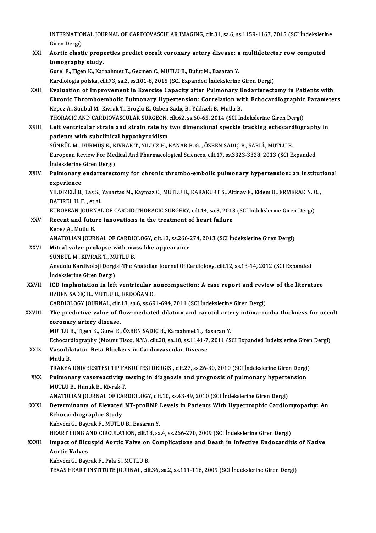INTERNATIONAL JOURNAL OF CARDIOVASCULAR IMAGING, cilt.31, sa.6, ss.1159-1167, 2015 (SCI İndekslerine<br>Ciron Dargi) INTERNATIO<br>Giren Dergi)<br>Aontie electi INTERNATIONAL JOURNAL OF CARDIOVASCULAR IMAGING, cilt.31, sa.6, ss.1159-1167, 2015 (SCI İndekslerin<br>Giren Dergi)<br>XXI. Aortic elastic properties predict occult coronary artery disease: a multidetector row computed<br>tomograph

# Giren Dergi)<br>Aortic elastic properties predict occult coronary artery disease: a multidetector row computed<br>tomography study.

Gurel E., Tigen K., Karaahmet T., Gecmen C., MUTLU B., Bulut M., Basaran Y.

Kardiologia polska, cilt.73, sa.2, ss.101-8,2015 (SCIExpanded İndekslerineGirenDergi)

Gurel E., Tigen K., Karaahmet T., Gecmen C., MUTLU B., Bulut M., Basaran Y.<br>Kardiologia polska, cilt.73, sa.2, ss.101-8, 2015 (SCI Expanded Indekslerine Giren Dergi)<br>XXII. Evaluation of Improvement in Exercise Capacity aft Chronic Thromboembolic Pulmonary Hypertension: Correlation with Echocardiographic Parameters<br>Kepez A., Sünbül M., Kivrak T., Eroglu E., Özben Sadıc B., Yıldızeli B., Mutlu B. Evaluation of Improvement in Exercise Capacity after Pulmonary E<br>Chronic Thromboembolic Pulmonary Hypertension: Correlation wi<br>Kepez A., Sünbül M., Kivrak T., Eroglu E., Özben Sadıç B., Yıldızeli B., Mutlu B.<br>THOPACIC AND THORACIC AND CARDIOVASCULAR SURGEON, cilt.62, ss.60-65, 2014 (SCI İndekslerine Giren Dergi)

Kepez A., Sünbül M., Kivrak T., Eroglu E., Özben Sadıç B., Yıldızeli B., Mutlu B.<br>THORACIC AND CARDIOVASCULAR SURGEON, cilt.62, ss.60-65, 2014 (SCI İndekslerine Giren Dergi)<br>XXIII. Left ventricular strain and strain rate b THORACIC AND CARDIOVASCULAR SURGEON, C<br>Left ventricular strain and strain rate by t<br>patients with subclinical hypothyroidism<br>SÜNPÜLM, DUPMIS E, KIVRAKT, VU DIZ H, L Left ventricular strain and strain rate by two dimensional speckle tracking echocard<br>patients with subclinical hypothyroidism<br>SÜNBÜL M., DURMUŞ E., KIVRAK T., YILDIZ H., KANAR B. G. , ÖZBEN SADIÇ B., SARI İ., MUTLU B.<br>Euro patients with subclinical hypothyroidism<br>SÜNBÜL M., DURMUŞ E., KIVRAK T., YILDIZ H., KANAR B. G. , ÖZBEN SADIÇ B., SARI İ., MUTLU B.<br>European Review For Medical And Pharmacological Sciences, cilt.17, ss.3323-3328, 2013 (SC SÜNBÜL M., DURMUŞ E., K<br>European Review For Mec<br>İndekslerine Giren Dergi)<br>Bulmonany ondartanest

## European Review For Medical And Pharmacological Sciences, cilt.17, ss.3323-3328, 2013 (SCI Expanded<br>Indekslerine Giren Dergi)<br>XXIV. Pulmonary endarterectomy for chronic thrombo-embolic pulmonary hypertension: an institutio İndekslerine<br>Pulmonary<br>experience<br><sup>VU DIZELİ B</sup> Pulmonary endarterectomy for chronic thrombo-embolic pulmonary hypertension: an institut<br>experience<br>YILDIZELİ B., Tas S., Yanartas M., Kaymaz C., MUTLU B., KARAKURT S., Altinay E., Eldem B., ERMERAK N. O. ,<br>PATIPEL H. E.,

experience<br>YILDIZELİ B., Tas S., Yanartas M., Kaymaz C., MUTLU B., KARAKURT S., Altinay E., Eldem B., ERMERAK N. O. ,<br>BATIREL H. F. , et al. YILDIZELİ B., Tas S., Yanartas M., Kaymaz C., MUTLU B., KARAKURT S., Altinay E., Eldem B., ERMERAK N. C<br>BATIREL H. F. , et al.<br>EUROPEAN JOURNAL OF CARDIO-THORACIC SURGERY, cilt.44, sa.3, 2013 (SCI İndekslerine Giren Dergi)

BATIREL H. F. , et al.<br>EUROPEAN JOURNAL OF CARDIO-THORACIC SURGERY, cilt44, sa.3, 2013<br>XXV. Recent and future innovations in the treatment of heart failure<br>Kanar A. Muthu B

EUROPEAN JOURN<br>Recent and futu:<br>Kepez A., Mutlu B.<br>ANATOLIAN JOUR

Recent and future innovations in the treatment of heart failure<br>Kepez A., Mutlu B.<br>ANATOLIAN JOURNAL OF CARDIOLOGY, cilt.13, ss.266-274, 2013 (SCI İndekslerine Giren Dergi)<br>Mitral valve prolanse with mass like annoaranse Kepez A., Mutlu B.<br>ANATOLIAN JOURNAL OF CARDIOLOGY, cilt.13, ss.266-3<br>XXVI. Mitral valve prolapse with mass like appearance

ANATOLIAN JOURNAL OF CARDIC<br>Mitral valve prolapse with ma<br>SÜNBÜL M., KIVRAK T., MUTLU B.<br>Anadalu Kardivalaji Dergisi The A SÜNBÜL M., KIVRAK T., MUTLU B.

Anadolu Kardiyoloji Dergisi-The Anatolian Journal Of Cardiology, cilt.12, ss.13-14, 2012 (SCI Expanded Indekslerine Giren Dergi) Anadolu Kardiyoloji Dergisi-The Anatolian Journal Of Cardiology, cilt.12, ss.13-14, 2012 (SCI Expanded<br>Indekslerine Giren Dergi)<br>XXVII. ICD implantation in left ventricular noncompaction: A case report and review of the li

## İndekslerine Giren Dergi)<br>ICD implantation in left ventricular r<br>ÖZBEN SADIÇ B., MUTLU B., ERDOĞAN O.<br>CARDIQLOCY IQURNAL, sik 19, sə 6, sə 60 ICD implantation in left ventricular noncompaction: A case report and reviories in the SADIC B., MUTLU B., ERDOĞAN O.<br>CARDIOLOGY JOURNAL, cilt.18, sa.6, ss.691-694, 2011 (SCI İndekslerine Giren Dergi)<br>The predictive value

CARDIOLOGY JOURNAL, cilt 18, sa.6, ss.691-694, 2011 (SCI İndekslerine Giren Dergi)

# ÖZBEN SADIÇ B., MUTLU B., ERDOĞAN O.<br>CARDIOLOGY JOURNAL, cilt.18, sa.6, ss.691-694, 2011 (SCI İndekslerine Giren Dergi)<br>XXVIII. The predictive value of flow-mediated dilation and carotid artery intima-media thickness for o

MUTLU B., Tigen K., Gurel E., ÖZBEN SADIÇ B., Karaahmet T., Basaran Y. coronary artery disease.<br>MUTLU B., Tigen K., Gurel E., ÖZBEN SADIÇ B., Karaahmet T., Basaran Y.<br>Echocardiography (Mount Kisco, N.Y.), cilt.28, sa.10, ss.1141-7, 2011 (SCI Expanded İndekslerine Giren Dergi)<br>Vesediletaten Be

## MUTLU B., Tigen K., Gurel E., ÖZBEN SADIÇ B., Karaahmet T., B.<br>Echocardiography (Mount Kisco, N.Y.), cilt.28, sa.10, ss.1141-7<br>XXIX. Vasodilatator Beta Blockers in Cardiovascular Disease Echocare<br><mark>Vasodil</mark><br>Mutlu B.<br>TPA*V*YA Vasodilatator Beta Blockers in Cardiovascular Disease<br>Mutlu B.<br>TRAKYA UNIVERSITESI TIP FAKULTESI DERGISI, cilt.27, ss.26-30, 2010 (SCI İndekslerine Giren Dergi)<br>Bulmanary yasarəastivity təsting in diagnasis and pragnasis a

## Mutlu B.<br>TRAKYA UNIVERSITESI TIP FAKULTESI DERGISI, cilt.27, ss.26-30, 2010 (SCI İndekslerine Giren Dergi)<br>XXX. Pulmonary vasoreactivity testing in diagnosis and prognosis of pulmonary hypertension<br>MITU IL B. Hunuk B. Kiwa TRAKYA UNIVERSITESI TIP FA<br>Pulmonary vasoreactivity 1<br>MUTLU B., Hunuk B., Kivrak T.<br>ANATOLIAN JOUPNAL OF CAP Pulmonary vasoreactivity testing in diagnosis and prognosis of pulmonary hyperte<br>MUTLU B., Hunuk B., Kivrak T.<br>ANATOLIAN JOURNAL OF CARDIOLOGY, cilt.10, ss.43-49, 2010 (SCI İndekslerine Giren Dergi)<br>Determinants of Elevate

### MUTLU B., Hunuk B., Kivrak T.<br>ANATOLIAN JOURNAL OF CARDIOLOGY, cilt.10, ss.43-49, 2010 (SCI İndekslerine Giren Dergi)<br>XXXI. Determinants of Elevated NT-proBNP Levels in Patients With Hypertrophic Cardiomyopathy: An ANATOLIAN JOURNAL OF CA<br>Determinants of Elevated<br>Echocardiographic Study<br>Kabyosi C. Bayrak E. MUTUU **Determinants of Elevated NT-proBNP |<br>Echocardiographic Study<br>Kahveci G., Bayrak F., MUTLU B., Basaran Y.<br>HEAPT LUNG AND CIPCULATION 611-19-82** Echocardiographic Study<br>Kahveci G., Bayrak F., MUTLU B., Basaran Y.<br>HEART LUNG AND CIRCULATION, cilt.18, sa.4, ss.266-270, 2009 (SCI İndekslerine Giren Dergi)<br>Impact of Bisuspid Aartis Value ap Complisations and Dasth in I

#### Kahveci G., Bayrak F., MUTLU B., Basaran Y.<br>HEART LUNG AND CIRCULATION, cilt.18, sa.4, ss.266-270, 2009 (SCI İndekslerine Giren Dergi)<br>XXXII. Impact of Bicuspid Aortic Valve on Complications and Death in Infective Endo HEART LUNG A<br>Impact of Bicu<br>Aortic Valves<br>Kehuesi C. Bern Impact of Bicuspid Aortic Valve on<br>Aortic Valves<br>Kahveci G., Bayrak F., Pala S., MUTLU B.<br>TEVAS UEAPT INSTITUTE IOUPNAL ail Aortic Valves<br>Kahveci G., Bayrak F., Pala S., MUTLU B.<br>TEXAS HEART INSTITUTE JOURNAL, cilt.36, sa.2, ss.111-116, 2009 (SCI İndekslerine Giren Dergi)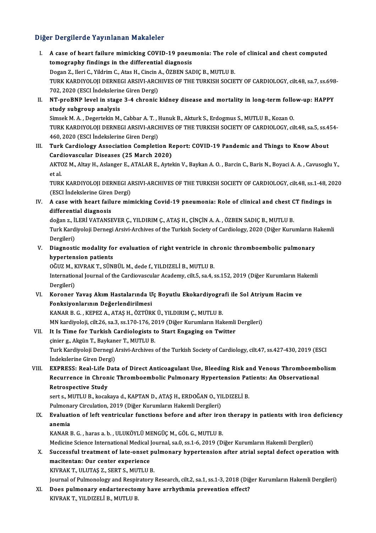#### Diğer Dergilerde Yayınlanan Makaleler

- I. A case of heart failure mimicking COVID-19 pneumonia: The role of clinical and chest computed tomography findings in the differential diagnosis A case of heart failure mimicking COVID-19 pneumonia: The role<br>tomography findings in the differential diagnosis<br>Dogan Z., Ileri C., Yildrim C., Atas H., Cincin A., ÖZBEN SADIÇ B., MUTLU B.<br>TURK KARDINOLOU DERNECLARSWLARGU TURK KARDIYOLOJI DERNEGI ARSIVI-ARCHIVES OF THE TURKISH SOCIETY OF CARDIOLOGY, cilt.48, sa.7, ss.698-<br>702, 2020 (ESCI İndekslerine Giren Dergi) Dogan Z., Ileri C., Yildrim C., Atas H., Cincin A<br>TURK KARDIYOLOJI DERNEGI ARSIVI-ARCH<br>702, 2020 (ESCI İndekslerine Giren Dergi)<br>NT nnoBNB lavel in stage <sup>2</sup> 4 shranis TURK KARDIYOLOJI DERNEGI ARSIVI-ARCHIVES OF THE TURKISH SOCIETY OF CARDIOLOGY, cilt.48, sa.7, ss.698<br>702, 2020 (ESCI İndekslerine Giren Dergi)<br>II. NT-proBNP level in stage 3-4 chronic kidney disease and mortality in long-t 702, 2020 (ESCI İndekslerin<br>NT-proBNP level in stage<br>study subgroup analysis<br>Simsek M A - Decertelin M
- NT-proBNP level in stage 3-4 chronic kidney disease and mortality in long-term follo<br>study subgroup analysis<br>Simsek M. A. , Degertekin M., Cabbar A. T. , Hunuk B., Akturk S., Erdogmus S., MUTLU B., Kozan O.<br>TURK KARDINOLOU study subgroup analysis<br>Simsek M. A. , Degertekin M., Cabbar A. T. , Hunuk B., Akturk S., Erdogmus S., MUTLU B., Kozan O.<br>TURK KARDIYOLOJI DERNEGI ARSIVI-ARCHIVES OF THE TURKISH SOCIETY OF CARDIOLOGY, cilt.48, sa.5, ss.454 Simsek M. A. , Degertekin M., Cabbar A. T. , I<br>TURK KARDIYOLOJI DERNEGI ARSIVI-ARCH<br>460, 2020 (ESCI İndekslerine Giren Dergi)<br>Turk Cardiologu Association Completi TURK KARDIYOLOJI DERNEGI ARSIVI-ARCHIVES OF THE TURKISH SOCIETY OF CARDIOLOGY, cilt.48, sa.5, ss.4<br>460, 2020 (ESCI Indekslerine Giren Dergi)<br>III. Turk Cardiology Association Completion Report: COVID-19 Pandemic and Things
- 460, 2020 (ESCI İndekslerine Giren Dergi)<br>Turk Cardiology Association Completion Recardiovascular Diseases (25 March 2020)<br>AKTOZ M. Altau H. Aslanger E. ATALAB E. Auto III. Turk Cardiology Association Completion Report: COVID-19 Pandemic and Things to Know About<br>Cardiovascular Diseases (25 March 2020)<br>AKTOZ M., Altay H., Aslanger E., ATALAR E., Aytekin V., Baykan A. O. , Barcin C., Baris Card<br>AKT<br>et al.<br>TUDL AKTOZ M., Altay H., Aslanger E., ATALAR E., Aytekin V., Baykan A. O. , Barcin C., Baris N., Boyaci A. A. , Cavusoglu Y.,<br>et al.<br>TURK KARDIYOLOJI DERNEGI ARSIVI-ARCHIVES OF THE TURKISH SOCIETY OF CARDIOLOGY, cilt.48, ss.1-4

et al.<br>TURK KARDIYOLOJI DERNEGI Al<br>(ESCI İndekslerine Giren Dergi)<br>A sasa with beart failure min TURK KARDIYOLOJI DERNEGI ARSIVI-ARCHIVES OF THE TURKISH SOCIETY OF CARDIOLOGY, cilt.48, ss.1-48, 20<br>(ESCI İndekslerine Giren Dergi)<br>IV. A case with heart failure mimicking Covid-19 pneumonia: Role of clinical and chest CT

(ESCI Indekslerine Giren Dergi)<br>A case with heart failure min<br>differential diagnosis IV. A case with heart failure mimicking Covid-19 pneumonia: Role of clinical and chest CT findings in

Turk Kardiyoloji Dernegi Arsivi-Archives of the Turkish Society of Cardiology, 2020 (Diğer Kurumların Hakemli<br>Dergileri) doğan z., İLERİ VATANSEVER Ç., YILDIRIM Ç., ATAŞ H., ÇİNÇİN A. A., ÖZBEN SADIÇ B., MUTLU B. Turk Kardiyoloji Dernegi Arsivi-Archives of the Turkish Society of Cardiology, 2020 (Diğer Kurumların H<br>Dergileri)<br>V. Diagnostic modality for evaluation of right ventricle in chronic thromboembolic pulmonary<br>hymentonal

Dergileri)<br>Diagnostic modality fo<br>hypertension patients<br>OČUZ M. KIVRAK T. SÜN Diagnostic modality for evaluation of right ventricle in ch<br>hypertension patients<br>OĞUZ M., KIVRAK T., SÜNBÜL M., dede f., YILDIZELİ B., MUTLU B.<br>International Journal of the Cordiausesular Asedemu silt 5, se 4, 4

hypertension patients<br>OĞUZ M., KIVRAK T., SÜNBÜL M., dede f., YILDIZELİ B., MUTLU B.<br>International Journal of the Cardiovascular Academy, cilt.5, sa.4, ss.152, 2019 (Diğer Kurumların Hakemli<br>Dergileri) OĞUZ M., F<br>Internation<br>Dergileri)<br>Koronor International Journal of the Cardiovascular Academy, cilt.5, sa.4, ss.152, 2019 (Diğer Kurumların Ha<br>Dergileri)<br>VI. Koroner Yavaş Akım Hastalarında Uç Boyutlu Ekokardiyografi ile Sol Atriyum Hacim ve<br>Fonksiyonlarının Doğar

Dergileri)<br>Koroner Yavaş Akım Hastalarında U<br>Fonksiyonlarının Değerlendirilmesi<br>KANAR R.G., KEREZ A. ATAS H. ÖZTÜRI Koroner Yavaş Akım Hastalarında Uç Boyutlu Ekokardiyogra<br>Fonksiyonlarının Değerlendirilmesi<br>KANAR B. G. , KEPEZ A., ATAŞ H., ÖZTÜRK Ü., YILDIRIM Ç., MUTLU B.<br>MN kardiyolaji silt 26, sa 2, ss.170, 176, 2019 (Diğar Kurumları

Fonksiyonlarının Değerlendirilmesi<br>KANAR B. G. , KEPEZ A., ATAŞ H., ÖZTÜRK Ü., YILDIRIM Ç., MUTLU B.<br>MN kardiyoloji, cilt.26, sa.3, ss.170-176, 2019 (Diğer Kurumların Hakemli Dergileri)<br>It Is Timo for Turkish Cardiologists KANAR B. G., KEPEZ A., ATAŞ H., ÖZTÜRK Ü., YILDIRIM Ç., MUTLU B.<br>MN kardiyoloji, cilt.26, sa.3, ss.170-176, 2019 (Diğer Kurumların Hakemli<br>VII. It Is Time for Turkish Cardiologists to Start Engaging on Twitter<br>cinior 3. Ak MN kardiyoloji, cilt.26, sa.3, ss.170-176, 20<br>It Is Time for Turkish Cardiologists t<br>çinier g., Akgün T., Baykaner T., MUTLU B.<br>Turk Kardivoloji Darnasi Arsivi Arshives

It Is Time for Turkish Cardiologists to Start Engaging on Twitter<br>çinier g., Akgün T., Baykaner T., MUTLU B.<br>Turk Kardiyoloji Dernegi Arsivi-Archives of the Turkish Society of Cardiology, cilt.47, ss.427-430, 2019 (ESCI<br>In çinier g., Akgün T., Baykan<br>Turk Kardiyoloji Dernegi *I*<br>İndekslerine Giren Dergi)<br>EYPPESS: Poal Life Dat Turk Kardiyoloji Dernegi Arsivi-Archives of the Turkish Society of Cardiology, cilt.47, ss.427-430, 2019 (ESCI<br>Indekslerine Giren Dergi)<br>VIII. EXPRESS: Real-Life Data of Direct Anticoagulant Use, Bleeding Risk and Venous T

İndekslerine Giren Dergi)<br>EXPRESS: Real-Life Data of Direct Anticoagulant Use, Bleeding Risk and Venous Thromboemb<br>Recurrence in Chronic Thromboembolic Pulmonary Hypertension Patients: An Observational<br>Retrespective Study EXPRESS: Real-Life <mark>E</mark><br>Recurrence in Chron<br>Retrospective Study<br>serts MITUE liscel Recurrence in Chronic Thromboembolic Pulmonary Hypertension Pat<br>Retrospective Study<br>sert s., MUTLU B., kocakaya d., KAPTAN D., ATAŞ H., ERDOĞAN O., YILDIZELİ B.<br>Pulmonary Circulation 2010 (Dižor Kurumların Hakamli Dergiler

Retrospective Study<br>sert s., MUTLU B., kocakaya d., KAPTAN D., ATAŞ H., ERDOĞAN O., YI<br>Pulmonary Circulation, 2019 (Diğer Kurumların Hakemli Dergileri)<br>Fyaluation of left ventrieular functione before and ofter ine

Sert s., MUTLU B., kocakaya d., KAPTAN D., ATAŞ H., ERDOĞAN O., YILDIZELİ B.<br>Pulmonary Circulation, 2019 (Diğer Kurumların Hakemli Dergileri)<br>IX. Evaluation of left ventricular functions before and after iron therapy in pa Pulmona<br><mark>Evaluat:</mark><br>anemia<br>KANAR I Evaluation of left ventricular functions before and after irol<br>anemia<br>KANAR B. G. , haras a.b. , ULUKÖYLÜ MENGÜÇ M., GÖL G., MUTLU B.<br>Medisine Ssiense International Medisel Jeurnal sa 0 ss 1 6 2019 (D

<mark>anemia</mark><br>KANAR B. G. , haras a. b. , ULUKÖYLÜ MENGÜÇ M., GÖL G., MUTLU B.<br>Medicine Science International Medical Journal, sa.0, ss.1-6, 2019 (Diğer Kurumların Hakemli Dergileri)<br>Suggessful treatment of lata enset pulmanaru

KANAR B. G. , haras a. b. , ULUKÖYLÜ MENGÜÇ M., GÖL G., MUTLU B.<br>Medicine Science International Medical Journal, sa.0, ss.1-6, 2019 (Diğer Kurumların Hakemli Dergileri)<br>X. Successful treatment of late-onset pulmonary hyper Medicine Science International Medical<br>Successful treatment of late-onset<br>macitentan: Our center experience<br>KIVRAK T. HU UTAS 7, SERT S. MUTULU Successful treatment of late-onset p<br>macitentan: Our center experience<br>KIVRAK T., ULUTAŞ Z., SERT S., MUTLU B.<br>Journal of Bulmonology and Bosninstory macitentan: Our center experience<br>KIVRAK T., ULUTAŞ Z., SERT S., MUTLU B.<br>Journal of Pulmonology and Respiratory Research, cilt.2, sa.1, ss.1-3, 2018 (Diğer Kurumların Hakemli Dergileri)

KIVRAK T., ULUTAŞ Z., SERT S., MUTLU B.<br>Journal of Pulmonology and Respiratory Research, cilt.2, sa.1, ss.1-3, 2018 (Diğ<br>XI. Does pulmonary endarterectomy have arrhythmia prevention effect?<br>FIVRAK T. VILDIZELLE MUTLU B Journal of Pulmonology and Respir<br>Does <mark>pulmonary endarterector</mark><br>KIVRAK T., YILDIZELİ B., MUTLU B.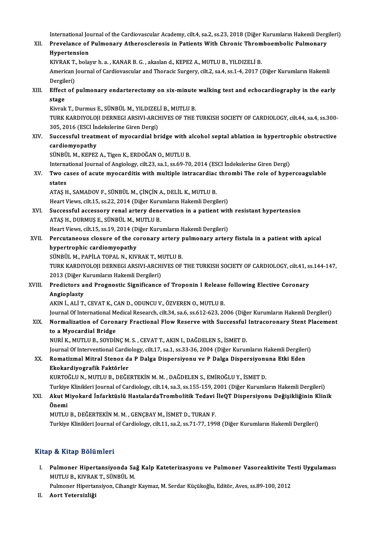International Journal of the Cardiovascular Academy, cilt.4, sa.2, ss.23, 2018 (Diğer Kurumların Hakemli Dergileri)<br>Prevslange of Bulmanary, Atharacalarasis in Batiants With Chronis Thromboambolis Bulmanary.

International Journal of the Cardiovascular Academy, cilt.4, sa.2, ss.23, 2018 (Diğer Kurumların Hakemli Derg<br>XII. Prevelance of Pulmonary Atherosclerosis in Patients With Chronic Thromboembolic Pulmonary<br>Uynertension International Jo<mark>r</mark><br>Prevelance of<br>Hypertension<br>KWPAK Tobels Prevelance of Pulmonary Atherosclerosis in Patients With Chronic Throm<br>Hypertension<br>KIVRAK T., bolayır h. a. , KANAR B. G. , akaslan d., KEPEZ A., MUTLU B., YILDIZELİ B.<br>American Journal of Cardiousceular and Thoragic Surg

Hypertension<br>KIVRAK T., bolayır h. a. , KANAR B. G. , akaslan d., KEPEZ A., MUTLU B., YILDIZELİ B.<br>American Journal of Cardiovascular and Thoracic Surgery, cilt.2, sa.4, ss.1-4, 2017 (Diğer Kurumların Hakemli<br>Dergileri) KIVRAK T.<br>American<br>Dergileri)<br>Effect of American Journal of Cardiovascular and Thoracic Surgery, cilt.2, sa.4, ss.1-4, 2017 (Diğer Kurumların Hakemli<br>Dergileri)<br>XIII. Effect of pulmonary endarterectomy on six-minute walking test and echocardiography in the early

Dergik<br><mark>Effect</mark><br>stage<br><sup>Kivrok</sub></sup> Effect of pulmonary endarterectomy on six-minute<br>stage<br>Kivrak T., Durmus E., SÜNBÜL M., YILDIZELİ B., MUTLU B.<br>TURK KARDIYOLOU DERNECLARSIYLARCHIVES OF THE:

Kivrak T., Durmus E., SÜNBÜL M., YILDIZELİ B., MUTLU B.

stage<br>Kivrak T., Durmus E., SÜNBÜL M., YILDIZELİ B., MUTLU B.<br>TURK KARDIYOLOJI DERNEGI ARSIVI-ARCHIVES OF THE TURKISH SOCIETY OF CARDIOLOGY, cilt.44, sa.4, ss.300-305, 2016 (ESCI Indekslerine Giren Dergi)

## XIV. Successful treatment of myocardial bridge with alcohol septal ablation in hypertrophic obstructive cardiomyopathy cardiomyopathy<br>SÜNBÜL M., KEPEZ A., Tigen K., ERDOĞAN O., MUTLU B.<br>International Journal of Angiology, cilt.23, sa.1, ss.69-70, 2014 (ESCI İndekslerine Giren Dergi)<br>Ture gases of asuta muasarditis uith multiple intrasardia

SÜNBÜL M., KEPEZ A., Tigen K., ERDOĞAN O., MUTLU B.

SÜNBÜL M., KEPEZ A., Tigen K., ERDOĞAN O., MUTLU B.<br>International Journal of Angiology, cilt.23, sa.1, ss.69-70, 2014 (ESCI İndekslerine Giren Dergi)<br>XV. Two cases of acute myocarditis with multiple intracardiac thromb Interna<br>Two castates<br>ATAS H Two cases of acute myocarditis with multiple intracardiac<br>states<br>ATAŞ H., SAMADOV F., SÜNBÜL M., ÇİNÇİN A., DELİL K., MUTLU B.<br>Heart Views silt 15, 88.22, 2014 (Dižer Kurumların Helemli Dergi

states<br>ATAŞ H., SAMADOV F., SÜNBÜL M., ÇİNÇİN A., DELİL K., MUTLU B.<br>Heart Views, cilt.15, ss.22, 2014 (Diğer Kurumların Hakemli Dergileri)<br>Sussessful assessoru renal erteru denerustion in a nationt wit

ATAŞ H., SAMADOV F., SÜNBÜL M., ÇİNÇİN A., DELİL K., MUTLU B.<br>Heart Views, cilt.15, ss.22, 2014 (Diğer Kurumların Hakemli Dergileri)<br>XVI. Successful accessory renal artery denervation in a patient with resistant hypertensi Heart Views, cilt.15, ss.22, 2014 (Diğer Kuru<br>Successful accessory renal artery dene<br>ATAŞ H., DURMUŞ E., SÜNBÜL M., MUTLU B.<br>Heart Views, silt 15, ss.19, 2014 (Diğer Kuru Successful accessory renal artery denervation in a patient wit<br>ATAŞ H., DURMUŞ E., SÜNBÜL M., MUTLU B.<br>Heart Views, cilt.15, ss.19, 2014 (Diğer Kurumların Hakemli Dergileri)<br>Persutaneous slosure of the seronary artery pulm

## ATAȘ H., DURMUȘ E., SÜNBÜL M., MUTLU B.<br>Heart Views, cilt.15, ss.19, 2014 (Diğer Kurumların Hakemli Dergileri)<br>XVII. Percutaneous closure of the coronary artery pulmonary artery fistula in a patient with apical<br>hypertrephi Heart Views, cilt.15, ss.19, 2014 (D<br>Percutaneous closure of the composed<br>hypertrophic cardiomyopathy<br>SÜNPÜL M. BARILA TORAL N. KIV Percutaneous closure of the coronary artery <sub>I</sub><br>hypertrophic cardiomyopathy<br>SÜNBÜL M., PAPİLA TOPAL N., KIVRAK T., MUTLU B.<br>TURK KARDIVOLOU DERNECLARSIVLARCHIVES OF

hypertrophic cardiomyopathy<br>SÜNBÜL M., PAPİLA TOPAL N., KIVRAK T., MUTLU B.<br>TURK KARDIYOLOJI DERNEGI ARSIVI-ARCHIVES OF THE TURKISH SOCIETY OF CARDIOLOGY, cilt.41, ss.144-147,<br>2012 (Dižer Kurumların Hakamli Dergileri) SÜNBÜL M., PAPİLA TOPAL N., KIVRAK T., M<br>TURK KARDIYOLOJI DERNEGI ARSIVI-ARCH<br>2013 (Diğer Kurumların Hakemli Dergileri)<br>Predistors and Pregnestis Significanes TURK KARDIYOLOJI DERNEGI ARSIVI-ARCHIVES OF THE TURKISH SOCIETY OF CARDIOLOGY, cilt.41, s:<br>2013 (Diğer Kurumların Hakemli Dergileri)<br>XVIII. Predictors and Prognostic Significance of Troponin I Release following Elective Co

# 2013 (Diğer Kurumların Hakemli Dergileri)<br>Predictors and Prognostic Significance of Troponin I Release following Elective Coronary<br>Angioplasty

AKIN İ., ALİ T., CEVAT K., CAN D., ODUNCU V., ÖZVEREN O., MUTLU B.

Journal Of International Medical Research, cilt.34, sa.6, ss.612-623, 2006 (Diğer Kurumların Hakemli Dergileri)

AKIN İ., ALİ T., CEVAT K., CAN D., ODUNCU V., ÖZVEREN O., MUTLU B.<br>Journal Of International Medical Research, cilt.34, sa.6, ss.612-623, 2006 (Diğer Kurumların Hakemli Dergileri)<br>XIX. Normalization of Coronary Fraction Journal Of International M<br>Normalization of Coron<br>to a Myocardial Bridge<br>NUPLK MUTUE SOVDI Normalization of Coronary Fractional Flow Reserve with Successful<br>to a Myocardial Bridge<br>NURİ K., MUTLU B., SOYDİNÇ M. S. , CEVAT T., AKIN I., DAĞDELEN S., İSMET D.<br>Journal Of Interventional Cardiology, silt 17, so 1, so 2 to a Myocardial Bridge<br>NURİ K., MUTLU B., SOYDİNÇ M. S. , CEVAT T., AKIN I., DAĞDELEN S., İSMET D.<br>Journal Of Interventional Cardiology, cilt.17, sa.1, ss.33-36, 2004 (Diğer Kurumların Hakemli Dergileri)<br>Pomatizmal Mitral

## NURİ K., MUTLU B., SOYDİNÇ M. S. , CEVAT T., AKIN I., DAĞDELEN S., İSMET D.<br>Journal Of Interventional Cardiology, cilt.17, sa.1, ss.33-36, 2004 (Diğer Kurumların Hakemli Dergiler<br>XX. Romatizmal Mitral Stenoz da P Dalga Dis Journal Of Interventional Cardio<br>Romatizmal Mitral Stenoz d:<br>Ekokardiyografik Faktörler<br>KURTOČUJ N. MUTULE DEČE Ekokardiyografik Faktörler<br>KURTOĞLU N., MUTLU B., DEĞERTEKİN M. M. , DAĞDELEN S., EMİROĞLU Y., İSMET D.<br>Turkiye Klinikleri Journal of Cardiology, cilt.14, sa.3, ss.155-159, 2001 (Diğer Kurumların Hakemli Dergileri)<br>Akut Mi

KURTOĞLU N., MUTLU B., DEĞERTEKİN M. M. , DAĞDELEN S., EMİROĞLU Y., İSMET D.

#### KURTOĞLU N., MUTLU B., DEĞERTEKİN M. M. , DAĞDELEN S., EMİROĞLU Y., İSMET D.<br>Turkiye Klinikleri Journal of Cardiology, cilt.14, sa.3, ss.155-159, 2001 (Diğer Kurumların Hakemli Dergileri)<br>XXI. Akut Miyokard İnfarktüslü Turkiye<br><mark>Akut M</mark><br>Önemi Akut Miyokard İnfarktüslü HastalardaTrombolitik Tedavi<br>Önemi<br>MUTLU B., DEĞERTEKİN M. M. , GENÇBAY M., İSMET D., TURAN F.<br>Turkiye Klinikleri Journal of Cardiology, silt 11, sə 3, sə 71, 77, 199 **Önemi**<br>MUTLU B., DEĞERTEKİN M. M. , GENÇBAY M., İSMET D., TURAN F.<br>Turkiye Klinikleri Journal of Cardiology, cilt.11, sa.2, ss.71-77, 1998 (Diğer Kurumların Hakemli Dergileri)

#### Kitap & Kitap Bölümleri

Itap & Kitap Bölümleri<br>I. Pulmoner Hipertansiyonda Sağ Kalp Kateterizasyonu ve Pulmoner Vasoreaktivite Testi Uygulaması<br>MUTU B. KNPAK T. SÜNPÜLM p & Hitap Bolamion<br>Pulmoner Hipertansiyonda Sa<br>MUTLU B., KIVRAK T., SÜNBÜL M.<br>Pulmoner Hinertansiyon Cibersiy Pulmoner Hipertansiyonda Sağ Kalp Kateterizasyonu ve Pulmoner Vasoreaktivite Te<br>MUTLU B., KIVRAK T., SÜNBÜL M.<br>Pulmoner Hipertansiyon, Cihangir Kaymaz, M. Serdar Küçükoğlu, Editör, Aves, ss.89-100, 2012<br>Aart Vetansirliği MUTLU B., KIVRAK T., SÜNBÜL M.<br>Pulmoner Hipertansiyon, Cihangir Kaymaz, M. Serdar Küçükoğlu, Editör, Aves, ss.89-100, 2012<br>II. Aort Yetersizliği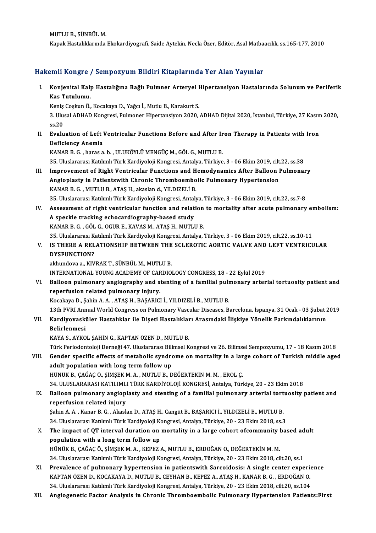MUTLUB.,SÜNBÜLM.

Kapak Hastalıklarında Ekokardiyografi, Saide Aytekin, Necla Özer, Editör, Asal Matbaacılık, ss.165-177, 2010

#### Hakemli Kongre / Sempozyum Bildiri Kitaplarında Yer Alan Yayınlar

akemli Kongre / Sempozyum Bildiri Kitaplarında Yer Alan Yayınlar<br>I. Konjenital Kalp Hastalığına Bağlı Pulmner Arteryel Hipertansiyon Hastalarında Solunum ve Periferik<br>Kas Tutulumu 2001 1915<br>Konjenital Kal<sub>l</sub><br>Kas Tutulumu.<br><sup>Konjs Coslam Ö</sup> Konjenital Kalp Hastalığına Bağlı Pulmner Arteryel I<br>Kas Tutulumu.<br>Keniş Coşkun Ö., Kocakaya D., Yağcı İ., Mutlu B., Karakurt S.<br><sup>2. Ulugal ADHAD Kongresi Bulmonor Hinertansiyon 2020</sup>

Keniş Coşkun Ö., Kocakaya D., Yağcı İ., Mutlu B., Karakurt S.

Kas Tutulumu.<br>Keniş Coşkun Ö., Kocakaya D., Yağcı İ., Mutlu B., Karakurt S.<br>3. Ulusal ADHAD Kongresi, Pulmoner Hipertansiyon 2020, ADHAD Dijital 2020, İstanbul, Türkiye, 27 Kasım 2020,<br>ss.20 3. Ulusal ADHAD Kongresi, Pulmoner Hipertansiyon 2020, ADHAD Dijital 2020, İstanbul, Türkiye, 27 Kasım<br>58.20<br>II. Evaluation of Left Ventricular Functions Before and After Iron Therapy in Patients with Iron<br>Deficiency Anomi

ss.20<br>Evaluation of Left<br>Deficiency Anemia<br>KANAR B.C., baras.e Evaluation of Left Ventricular Functions Before and After Ir<br>Deficiency Anemia<br>KANAR B. G. , haras a.b. , ULUKÖYLÜ MENGÜÇ M., GÖL G., MUTLU B.<br>25. Uluslararası Katılımlı Türk Kardiyaleji Kangrasi, Antalya, Türkiye <mark>Deficiency Anemia</mark><br>KANAR B. G. , haras a. b. , ULUKÖYLÜ MENGÜÇ M., GÖL G., MUTLU B.<br>35. Uluslararası Katılımlı Türk Kardiyoloji Kongresi, Antalya, Türkiye, 3 - 06 Ekim 2019, cilt.22, ss.38<br>Improvement of Bight Ventrieuler

- KANAR B. G. , haras a. b. , ULUKÖYLÜ MENGÜÇ M., GÖL G., MUTLU B.<br>35. Uluslararası Katılımlı Türk Kardiyoloji Kongresi, Antalya, Türkiye, 3 06 Ekim 2019, cilt.22, ss.38<br>III. Improvement of Right Ventricular Functions and 35. Uluslararası Katılımlı Türk Kardiyoloji Kongresi, Antalya, Türkiye, 3 - 06 Ekim 2019, cilt<br>Improvement of Right Ventricular Functions and Hemodynamics After Balloon I<br>Angioplasty in Patientswith Chronic Thromboembolic KANAR B.G., MUTLU B., ATAŞ H., akasland., YILDIZELİ B. 35.UluslararasıKatılımlıTürkKardiyolojiKongresi,Antalya,Türkiye,3 -06Ekim2019, cilt.22, ss.7-8 KANAR B. G. , MUTLU B., ATAŞ H., akaslan d., YILDIZELİ B.<br>35. Uluslararası Katılımlı Türk Kardiyoloji Kongresi, Antalya, Türkiye, 3 - 06 Ekim 2019, cilt.22, ss.7-8<br>IV. Assessment of right ventricular function and relation
- 35. Uluslararası Katılımlı Türk Kardiyoloji Kongresi, Antal<br>Assessment of right ventricular function and relat<br>A speckle tracking echocardiography-based study<br>KANAR B.C., CÖLC., OCUR E. KAVAS M. ATAS H. MUTU Assessment of right ventricular function and relation<br>A speckle tracking echocardiography-based study<br>KANAR B. G. , GÖL G., OGUR E., KAVAS M., ATAŞ H., MUTLU B.<br>25 Hluclarerası Katılımlı Türk Kardiyoloji Kongresi, Antalya A speckle tracking echocardiography-based study<br>KANAR B. G. , GÖL G., OGUR E., KAVAS M., ATAŞ H., MUTLU B.<br>35. Uluslararası Katılımlı Türk Kardiyoloji Kongresi, Antalya, Türkiye, 3 - 06 Ekim 2019, cilt.22, ss.10-11<br>15. TUE KANAR B. G. , GÖL G., OGUR E., KAVAS M., ATAŞ H., MUTLU B.<br>35. Uluslararası Katılımlı Türk Kardiyoloji Kongresi, Antalya, Türkiye, 3 - 06 Ekim 2019, cilt.22, ss.10-11<br>19. IS THERE A RELATIONSHIP BETWEEN THE SCLEROTIC AORTI
- 35. Uluslararası K.<br>IS THERE A REL<br>DYSFUNCTION? IS THERE A RELATIONSHIP BETWEEN THE<br>DYSFUNCTION?<br>akhundova a., KIVRAK T., SÜNBÜL M., MUTLU B.<br>INTERNATIONAL VOUNC ACADEMY OF CARDIO

DYSFUNCTION?<br>akhundova a., KIVRAK T., SÜNBÜL M., MUTLU B.<br>INTERNATIONAL YOUNG ACADEMY OF CARDIOLOGY CONGRESS, 18 - 22 Eylül 2019<br>Pallaen nulmenaru angiegraphy and stanting of a familial nulmenaru arter

akhundova a., KIVRAK T., SÜNBÜL M., MUTLU B.<br>INTERNATIONAL YOUNG ACADEMY OF CARDIOLOGY CONGRESS, 18 - 22 Eylül 2019<br>VI. Balloon pulmonary angiography and stenting of a familial pulmonary arterial tortuosity patient and<br>rep INTERNATIONAL YOUNG ACADEMY OF CAR<br>Balloon pulmonary angiography and s<br>reperfusion related pulmonary injury.<br>Kesslave D. Sabin A.A. ATAS H. BASABICI

Kocakaya D., Şahin A.A., ATAŞ H., BAŞARICI İ., YILDIZELİ B., MUTLU B.

reperfusion related pulmonary injury.<br>Kocakaya D., Şahin A. A. , ATAŞ H., BAŞARICI İ., YILDIZELİ B., MUTLU B.<br>13th PVRI Annual World Congress on Pulmonary Vascular Diseases, Barcelona, İspanya, 31 Ocak - 03 Şubat 2019<br>Kand VII. Kardiyovasküler Hastalıklar ile Dişeti Hastalıkları Arasındaki İlişkiye Yönelik Farkındalıklarının Belirlenmesi 13th PVRI Ann<br><mark>Kardiyovaski</mark><br>Belirlenmesi<br>KAVA S. AVKO

KAYAS.,AYKOL ŞAHİNG.,KAPTANÖZEND.,MUTLUB.

Türk Periodontoloji Derneği 47. Uluslararası Bilimsel Kongresi ve 26. Bilimsel Sempozyumu, 17 - 18 Kasım 2018

KAYA S., AYKOL ŞAHİN G., KAPTAN ÖZEN D., MUTLU B.<br>Türk Periodontoloji Derneği 47. Uluslararası Bilimsel Kongresi ve 26. Bilimsel Sempozyumu, 17 - 18 Kasım 2018<br>VIII. Gender specific effects of metabolic syndrome on mor Türk Periodontoloji Derneği 47. Uluslararası Bili<br>Gender specific effects of metabolic syndre<br>adult population with long term follow up<br>HÜNÜK P. CAČAC Ö. SİMSEK M.A., MUTUR D Gender specific effects of metabolic syndrome on mortality in a lar<br>adult population with long term follow up<br>HÜNÜK B., ÇAĞAÇ Ö., ŞİMŞEK M. A. , MUTLU B., DEĞERTEKİN M. M. , EROL Ç.<br>24 HI USLARASI KATILIMLI TÜRK KARDİYOLOU adult population with long term follow up<br>HÜNÜK B., ÇAĞAÇ Ö., ŞİMŞEK M. A. , MUTLU B., DEĞERTEKİN M. M. , EROL Ç.<br>34. ULUSLARARASI KATILIMLI TÜRK KARDİYOLOJİ KONGRESİ, Antalya, Türkiye, 20 - 23 Ekim 2018<br>Palloon nulmanarıy

HÜNÜK B., ÇAĞAÇ Ö., ŞİMŞEK M. A. , MUTLU B., DEĞERTEKİN M. M. , EROL Ç.<br>34. ULUSLARARASI KATILIMLI TÜRK KARDİYOLOJİ KONGRESİ, Antalya, Türkiye, 20 - 23 Ekim 2018<br>IX. Balloon pulmonary angioplasty and stenting of a fami 34 ULUSLARARASI KATILIML<br>Balloon pulmonary angiop<br>reperfusion related injury<br>Sabin A.A., Kanar B.C., Akask Balloon pulmonary angioplasty and stenting of a familial pulmonary arterial tort<br>reperfusion related injury<br>Şahin A. A. , Kanar B. G. , Akaslan D., ATAŞ H., Cangüt B., BAŞARICI İ., YILDIZELİ B., MUTLU B.<br>24 Huglararası Kat

1 reperfusion related injury<br>1945. Sahin A. A. , Kanar B. G. , Akaslan D., ATAŞ H., Cangüt B., BAŞARICI İ., YILDIZELİ B., MUTLU B.<br>194. Uluslararası Katılımlı Türk Kardiyoloji Kongresi, Antalya, Türkiye, 20 - 23 Ekim 2018, Sahin A. A. , Kanar B. G. , Akaslan D., ATAŞ H., Cangüt B., BAŞARICI İ., YILDIZELİ B., MUTLU B.<br>34. Uluslararası Katılımlı Türk Kardiyoloji Kongresi, Antalya, Türkiye, 20 - 23 Ekim 2018, ss.3<br>X. The impact of QT interval d

### 34. Uluslararası Katılımlı Türk Kardiyoloji Ko<br>The impact of QT interval duration on<br>population with a long term follow up<br>HÜNÜK P. GAČAC Ö. SİMSEK M.A., KEDEZ The impact of QT interval duration on mortality in a large cohort ofcommunity |<br>population with a long term follow up<br>HÜNÜK B., ÇAĞAÇ Ö., ŞİMŞEK M. A. , KEPEZ A., MUTLU B., ERDOĞAN O., DEĞERTEKİN M. M.<br>24 Hurelarenea: Katı population with a long term follow up<br>HÜNÜK B., ÇAĞAÇ Ö., ŞİMŞEK M. A. , KEPEZ A., MUTLU B., ERDOĞAN O., DEĞERTEKİN M. M.<br>34. Uluslararası Katılımlı Türk Kardiyoloji Kongresi, Antalya, Türkiye, 20 - 23 Ekim 2018, cilt.20,

- XI. Prevalence of pulmonary hypertension in patientswith Sarcoidosis: A single center experience 34. Uluslararası Katılımlı Türk Kardiyoloji Kongresi, Antalya, Türkiye, 20 - 23 Ekim 2018, cilt.20, ss.1<br>Prevalence of pulmonary hypertension in patientswith Sarcoidosis: A single center experi<br>KAPTAN ÖZEN D., KOCAKAYA D., Prevalence of pulmonary hypertension in patientswith Sarcoidosis: A single center experie<br>KAPTAN ÖZEN D., KOCAKAYA D., MUTLU B., CEYHAN B., KEPEZ A., ATAŞ H., KANAR B. G. , ERDOĞAN O.<br>34. Uluslararası Katılımlı Türk Kardiy
- 34. Uluslararası Katılımlı Türk Kardiyoloji Kongresi, Antalya, Türkiye, 20 23 Ekim 2018, cilt.20, ss.104<br>XII. Angiogenetic Factor Analysis in Chronic Thromboembolic Pulmonary Hypertension Patients:First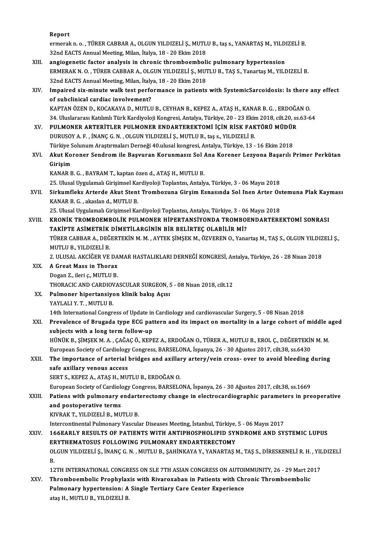Report

Report<br>ermerak n. o. , TÜRER CABBAR A., OLGUN YILDIZELİ Ş., MUTLU B., taş s., YANARTAŞ M., YILDIZELİ B.<br>22nd EACTS Annual Meeting, Milan, İtalya 18, . 20 Ekim 2019. Report<br>ermerak n. o. , TÜRER CABBAR A., OLGUN YILDIZELİ Ş., MUTL<br>32nd EACTS Annual Meeting, Milan, İtalya, 18 - 20 Ekim 2018<br>angiogenetis faster analysis in shranis thrombosmbali ermerak n. o. , TÜRER CABBAR A., OLGUN YILDIZELİ Ş., MUTLU B., taş s., YANARTAŞ M., YILDI<br>32nd EACTS Annual Meeting, Milan, İtalya, 18 - 20 Ekim 2018<br>XIII. angiogenetic factor analysis in chronic thromboembolic pulmonary h

- 32nd EACTS Annual Meeting, Milan, İtalya, 18 20 Ekim 2018<br>angiogenetic factor analysis in chronic thromboembolic pulmonary hypertension<br>ERMERAK N.O., TÜRER CABBAR A., OLGUN YILDIZELİ Ş., MUTLU B., TAŞ S., Yanartaş M., YI angiogenetic factor analysis in chronic thromboemboli<br>ERMERAK N. O. , TÜRER CABBAR A., OLGUN YILDIZELİ Ş., MUT<br>32nd EACTS Annual Meeting, Milan, İtalya, 18 - 20 Ekim 2018<br>Impaired six minute walk test nerfermanse in patien ERMERAK N. O. , TÜRER CABBAR A., OLGUN YILDIZELİ Ş., MUTLU B., TAŞ S., Yanartaş M., YILDIZELİ B.<br>32nd EACTS Annual Meeting, Milan, İtalya, 18 - 20 Ekim 2018<br>XIV. Impaired six-minute walk test performance in patients with S
- 32nd EACTS Annual Meeting, Milan, İtaly<br>Impaired six-minute walk test perfo<br>of subclinical cardiac involvement?<br>KARTAN ÖZEN D. KOCAKAYA D. MUTH Impaired six-minute walk test performance in patients with SystemicSarcoidosis: Is there a<br>of subclinical cardiac involvement?<br>KAPTAN ÖZEN D., KOCAKAYA D., MUTLU B., CEYHAN B., KEPEZ A., ATAŞ H., KANAR B. G. , ERDOĞAN O.<br>2 of subclinical cardiac involvement?<br>KAPTAN ÖZEN D., KOCAKAYA D., MUTLU B., CEYHAN B., KEPEZ A., ATAŞ H., KANAR B. G. , ERDOĞAN O.<br>34. Uluslararası Katılımlı Türk Kardiyoloji Kongresi, Antalya, Türkiye, 20 - 23 Ekim 2018, c
- KAPTAN ÖZEN D., KOCAKAYA D., MUTLU B., CEYHAN B., KEPEZ A., ATAŞ H., KANAR B. G. , ERDOĞA<br>34. Uluslararası Katılımlı Türk Kardiyoloji Kongresi, Antalya, Türkiye, 20 23 Ekim 2018, cilt.20, ss<br>XV. PULMONER ARTERİTLER PULMO 34. Uluslararası Katılımlı Türk Kardiyoloji Kongresi, Antalya, Türkiye, 20 - 23 Ekir<br>PULMONER ARTERİTLER PULMONER ENDARTEREKTOMİ İÇİN RİSK FAK<br>DURUSOY A. F. , İNANÇ G. N. , OLGUN YILDIZELİ Ş., MUTLU B., taş s., YILDIZELİ B PULMONER ARTERİTLER PULMONER ENDARTEREKTOMİ İÇİN RİSK FAKTÖRÜ MÜDÜR<br>DURUSOY A. F. , İNANÇ G. N. , OLGUN YILDIZELİ Ş., MUTLU B., taş s., YILDIZELİ B.<br>Türkiye Solunum Araştırmaları Derneği 40.ulusal kongresi, Antalya, Türkiy DURUSOY A. F. , İNANÇ G. N. , OLGUN YILDIZELİ Ş., MUTLU B., taş s., YILDIZELİ B.<br>Türkiye Solunum Araştırmaları Derneği 40.ulusal kongresi, Antalya, Türkiye, 13 - 16 Ekim 2018<br>XVI. Akut Koroner Sendrom ile Başvuran Koru
- Türkiye S<br><mark>Akut Ko</mark>)<br>Girişim<br>KANAR R Akut Koroner Sendrom ile Başvuran Korunmasız Sol<br>Girişim<br>KANAR B. G. , BAYRAM T., kaptan özen d., ATAŞ H., MUTLU B.<br>25 Hlucel Hygulamek Cirisimsel Kardiyeleji Tenlantısı Antakı Girişim<br>KANAR B. G. , BAYRAM T., kaptan özen d., ATAŞ H., MUTLU B.<br>25. Ulusal Uygulamalı Girişimsel Kardiyoloji Toplantısı, Antalya, Türkiye, 3 - 06 Mayıs 2018<br>Sirkumfleks Artarde Akut Stant Trambogune Girsim Fansaında Sol

KANAR B. G. , BAYRAM T., kaptan özen d., ATAŞ H., MUTLU B.<br>25. Ulusal Uygulamalı Girişimsel Kardiyoloji Toplantısı, Antalya, Türkiye, 3 - 06 Mayıs 2018<br>XVII. Sirkumfleks Arterde Akut Stent Trombozuna Girşim Esnasında S 25. Ulusal Uygulamalı Girişimsel Ka<br>Sirkumfleks Arterde Akut Stent<br>KANAR B. G. , akaslan d., MUTLU B.<br>25. Ulusal Uygulamalı Girisimsel Ka

25.UlusalUygulamalıGirişimselKardiyolojiToplantısı,Antalya,Türkiye,3 -06Mayıs2018 KANAR B. G. , akaslan d., MUTLU B.<br>25. Ulusal Uygulamalı Girişimsel Kardiyoloji Toplantısı, Antalya, Türkiye, 3 - 06 Mayıs 2018<br>27. KRONİK TROMBOEMBOLİK PULMONER HİPERTANSİYONDA TROMBOENDARTEREKTOMİ SONRASI<br>27. KÜRTE ASİME 25. Ulusal Uygulamalı Girişimsel Kardiyoloji Toplantısı, Antalya, Türkiye, 3 - 06<br>KRONİK TROMBOEMBOLİK PULMONER HİPERTANSİYONDA TROMBOJ<br>TÜRER GARRAR A, DEĞERTEKİN M.M., AVTEK SİMSEK M. ÖZVEREN O, Vana<br>TÜRER GARRAR A, DEĞER KRONİK TROMBOEMBOLİK PULMONER HİPERTANSİYONDA TROMBOENDARTEREKTOMİ SONRASI<br>TAKİPTE ASİMETRİK DİMETİLARGİNİN BİR BELİRTEÇ OLABİLİR Mİ?<br>TÜRER CABBAR A., DEĞERTEKİN M. M. , AYTEK ŞİMŞEK M., ÖZVEREN O., Yanartaş M., TAŞ S., OL TAKİPTE ASİMETRİK<br>TÜRER CABBAR A., DEĞ<br>MUTLU B., YILDIZELİ B.<br>2. IILISAL AKCİĞER VE

TÜRER CABBAR A., DEĞERTEKİN M. M. , AYTEK ŞİMŞEK M., ÖZVEREN O., Yanartaş M., TAŞ S., OLGUN YILDIZ<br>MUTLU B., YILDIZELİ B.<br>2. ULUSAL AKCİĞER VE DAMAR HASTALIKLARI DERNEĞİ KONGRESİ, Antalya, Türkiye, 26 - 28 Nisan 2018<br>A Cre

2. ULUSAL AKCİĞER VE DAMAR HASTALIKLARI DERNEĞİ KONGRESİ, Antalya, Türkiye, 26 - 28 Nisan 2018

- MUTLU B., YILDIZELI B.<br>2. ULUSAL AKCIĞER VE DA<br>XIX. A Great Mass in Thorax<br>Dogan Z., ileri c., MUTLU B. THORACIC AND CARDIOVASCULAR SURGEON, 5 - 08 Nisan 2018, cilt.12 Dogan Z., ileri ç., MUTLU B.<br>THORACIC AND CARDIOVASCULAR SURGEON, 5<br>XX. Pulmoner hipertansiyon klinik bakış Açısı<br>YAYLALLY T. MUTLU B
- THORACIC AND CARDIOV<br>Pulmoner hipertansiye<br>YAYLALI Y. T. , MUTLU B.<br>14th International Congre 14th International Congress of Update in Cardiology and cardiovascular Surgery, 5 - 08 Nisan 2018<br>14th International Congress of Update in Cardiology and cardiovascular Surgery, 5 - 08 Nisan 2018
- YAYLALI Y. T. , MUTLU B.<br>14th International Congress of Update in Cardiology and cardiovascular Surgery, 5 08 Nisan 2018<br>XXI. Prevalence of Brugada type ECG pattern and its impact on mortality in a large cohort of middle 14th International Congress of Update in<br>Prevalence of Brugada type ECG pat<br>subjects with a long term follow-up<br>uthtive p simery M A CAČACÖ KEDL Prevalence of Brugada type ECG pattern and its impact on mortality in a large cohort of middle a<br>subjects with a long term follow-up<br>HÜNÜK B., ŞİMŞEK M. A. , ÇAĞAÇ Ö., KEPEZ A., ERDOĞAN O., TÜRER A., MUTLU B., EROL Ç., DEĞ

subjects with a long term follow-up<br>HÜNÜK B., ŞİMŞEK M. A. , ÇAĞAÇ Ö., KEPEZ A., ERDOĞAN O., TÜRER A., MUTLU B., EROL Ç., DEĞERTEKİN<br>European Society of Cardiology Congress, BARSELONA, İspanya, 26 - 30 Ağustos 2017, cilt.3 HÜNÜK B., ŞİMŞEK M. A. , ÇAĞAÇ Ö., KEPEZ A., ERDOĞAN O., TÜRER A., MUTLU B., EROL Ç., DEĞERTEKİN M. M.<br>European Society of Cardiology Congress, BARSELONA, İspanya, 26 - 30 Ağustos 2017, cilt.38, ss.6430<br>XXII. The importanc

# European Society of Cardiology<br>The importance of arterial<br>safe axillary venous access<br>SEPTS, KEPEZ A, ATAS H, MIT

SERT S., KEPEZ A., ATAŞ H., MUTLU B., ERDOĞAN O.

European Society of Cardiology Congress, BARSELONA, İspanya, 26 - 30 Ağustos 2017, cilt.38, ss.1669

SERT S., KEPEZ A., ATAŞ H., MUTLU B., ERDOĞAN O.<br>European Society of Cardiology Congress, BARSELONA, İspanya, 26 - 30 Ağustos 2017, cilt.38, ss.1669<br>XXIII. Patiens with pulmonary endarterectomy change in electrocardiog and postoperative terms<br>KIVRAK T., YILDIZELİ B., MUTLU B. Patiens with pulmonary endart<br>and postoperative terms<br>KIVRAK T., YILDIZELİ B., MUTLU B.<br>Intercentinentel Bulmonary Vescul:

Intercontinental Pulmonary Vascular Diseases Meeting, İstanbul, Türkiye, 5 - 06 Mayıs 2017

KIVRAK T., YILDIZELİ B., MUTLU B.<br>Intercontinental Pulmonary Vascular Diseases Meeting, İstanbul, Türkiye, 5 - 06 Mayıs 2017<br>XXIV. 166EARLY RESULTS OF PATIENTS WITH ANTIPHOSPHOLIPID SYNDROME AND SYSTEMIC LUPUS<br>ERVTUEMA Intercontinental Pulmonary Vascular Diseases Meeting, İstanbul, Türkiye,<br>166EARLY RESULTS OF PATIENTS WITH ANTIPHOSPHOLIPID SYNERYTHEMATOSUS FOLLOWING PULMONARY ENDARTERECTOMY<br>OLCUN YU DIZELLS, İNANÇ C.N., MITU ILP, SAHİNK 166EARLY RESULTS OF PATIENTS WITH ANTIPHOSPHOLIPID SYNDROME AND SYSTEMIC LUPUS<br>ERYTHEMATOSUS FOLLOWING PULMONARY ENDARTERECTOMY<br>OLGUN YILDIZELİ Ş., İNANÇ G. N. , MUTLU B., ŞAHİNKAYA Y., YANARTAŞ M., TAŞ S., DİRESKENELİ R. EF<br>OI<br>B. OLGUN YILDIZELİ Ş., İNANÇ G. N. , MUTLU B., ŞAHİNKAYA Y., YANARTAŞ M., TAŞ S., DİRESKENELİ R. H. , YIL<br>B.<br>12TH INTERNATIONAL CONGRESS ON SLE 7TH ASIAN CONGRESS ON AUTOIMMUNITY, 26 - 29 Mart 2017<br>Thromboombolis Bronbylavis

B.<br>12TH INTERNATIONAL CONGRESS ON SLE 7TH ASIAN CONGRESS ON AUTOIMMUNITY, 26 - 29 Mart 20<br>XXV. Thromboembolic Prophylaxis with Rivaroxaban in Patients with Chronic Thromboembolic<br>Pulmanany bynartensian: A Single Textio 12TH INTERNATIONAL CONGRESS ON SLE 7TH ASIAN CONGRESS ON AUTOI<br>Thromboembolic Prophylaxis with Rivaroxaban in Patients with Chi<br>Pulmonary hypertension: A Single Tertiary Care Center Experience<br>ates H\_MITI II P\_VILDIZELLP Thromboembolic Prophylaxis with Rivaroxaban in Patients with Chronic Thromboembolic<br>Pulmonary hypertension: A Single Tertiary Care Center Experience<br>ataş H., MUTLU B., YILDIZELİ B.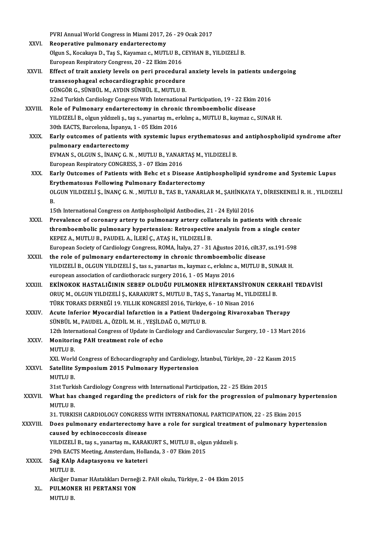|              | PVRI Annual World Congress in Miami 2017, 26 - 29 Ocak 2017                                                |
|--------------|------------------------------------------------------------------------------------------------------------|
| XXVI.        | Reoperative pulmonary endarterectomy                                                                       |
|              | Olgun S., Kocakaya D., Taş S., Kayamaz c., MUTLU B., CEYHAN B., YILDIZELİ B.                               |
|              | European Respiratory Congress, 20 - 22 Ekim 2016                                                           |
| XXVII.       | Effect of trait anxiety levels on peri procedural anxiety levels in patients undergoing                    |
|              | transesophageal echocardiographic procedure                                                                |
|              | GÜNGÖR G., SÜNBÜL M., AYDIN SÜNBÜL E., MUTLU B.                                                            |
|              | 32nd Turkish Cardiology Congress With International Participation, 19 - 22 Ekim 2016                       |
| XXVIII.      | Role of Pulmonary endarterectomy in chronic thromboembolic disease                                         |
|              | YILDIZELİ B., olgun yıldızeli ş., taş s., yanartaş m., erkılınç a., MUTLU B., kaymaz c., SUNAR H.          |
|              | 30th EACTS, Barcelona, İspanya, 1 - 05 Ekim 2016                                                           |
| XXIX.        | Early outcomes of patients with systemic lupus erythematosus and antiphospholipid syndrome after           |
|              | pulmonary endarterectomy                                                                                   |
|              | EVMAN S., OLGUN S., İNANÇ G. N., MUTLU B., YANARTAŞ M., YILDIZELİ B.                                       |
|              | European Respiratory CONGRESS, 3 - 07 Ekim 2016                                                            |
| XXX.         | Early Outcomes of Patients with Behc et s Disease Antiphospholipid syndrome and Systemic Lupus             |
|              | Erythematosus Following Pulmonary Endarterectomy                                                           |
|              | OLGUN YILDIZELİ Ş., İNANÇ G. N., MUTLU B., TAS B., YANARLAR M., ŞAHİNKAYA Y., DİRESKENELİ R. H., YILDIZELİ |
|              | В.                                                                                                         |
|              | 15th International Congress on Antiphospholipid Antibodies, 21 - 24 Eylül 2016                             |
| XXXI.        | Prevalence of coronary artery to pulmonary artery collaterals in patients with chronic                     |
|              | thromboembolic pulmonary hypertension: Retrospective analysis from a single center                         |
|              | KEPEZ A., MUTLU B., PAUDEL A., İLERİ Ç., ATAŞ H., YILDIZELİ B.                                             |
|              | European Society of Cardiology Congress, ROMA, İtalya, 27 - 31 Ağustos 2016, cilt.37, ss.191-598           |
| XXXII.       | the role of pulmonary endarterectomy in chronic thromboembolic disease                                     |
|              | YILDIZELİ B., OLGUN YILDIZELİ Ş., tas s., yanartas m., kaymaz c., erkılınc a., MUTLU B., SUNAR H.          |
|              | european association of cardiothoracic surgery 2016, 1 - 05 Mayıs 2016                                     |
| XXXIII.      | EKİNOKOK HASTALIĞININ SEBEP OLDUĞU PULMONER HİPERTANSİYONUN CERRAHİ TEDAVİSİ                               |
|              | ORUÇ M., OLGUN YILDIZELİ Ş., KARAKURT S., MUTLU B., TAŞ S., Yanartaş M., YILDIZELİ B.                      |
|              | TÜRK TORAKS DERNEĞİ 19. YILLIK KONGRESİ 2016, Türkiye, 6 - 10 Nisan 2016                                   |
| <b>XXXIV</b> | Acute Inferior Myocardial Infarction in a Patient Undergoing Rivaroxaban Therapy                           |
|              | SÜNBÜL M., PAUDEL A., ÖZDİL M. H., YEŞİLDAĞ O., MUTLU B.                                                   |
|              | 12th International Congress of Update in Cardiology and Cardiovascular Surgery, 10 - 13 Mart 2016          |
| XXXV.        | Monitoring PAH treatment role of echo<br><b>MUTLU B.</b>                                                   |
|              | XXI. World Congress of Echocardiography and Cardiology, İstanbul, Türkiye, 20 - 22 Kasım 2015              |
| XXXVI.       | Satellite Symposium 2015 Pulmonary Hypertension                                                            |
|              | <b>MUTLU B</b>                                                                                             |
|              | 31st Turkish Cardiology Congress with International Participation, 22 - 25 Ekim 2015                       |
| XXXVII.      | What has changed regarding the predictors of risk for the progression of pulmonary hypertension            |
|              | <b>MUTLUB</b>                                                                                              |
|              | 31. TURKISH CARDIOLOGY CONGRESS WITH INTERNATIONAL PARTICIPATION, 22 - 25 Ekim 2015                        |
| XXXVIII.     | Does pulmonary endarterectomy have a role for surgical treatment of pulmonary hypertension                 |
|              | caused by echinococcosis disease                                                                           |
|              | YILDIZELİ B., taş s., yanartaş m., KARAKURT S., MUTLU B., olgun yıldızeli ş.                               |
|              | 29th EACTS Meeting, Amsterdam, Hollanda, 3 - 07 Ekim 2015                                                  |
| <b>XXXIX</b> | Sağ KAlp Adaptasyonu ve kateteri                                                                           |
|              | <b>MUTLU B.</b>                                                                                            |
|              | Akciğer Damar HAstalıkları Derneği 2. PAH okulu, Türkiye, 2 - 04 Ekim 2015                                 |
| XL.          | PULMONER HI PERTANSI YON                                                                                   |
|              | MUTLU B.                                                                                                   |
|              |                                                                                                            |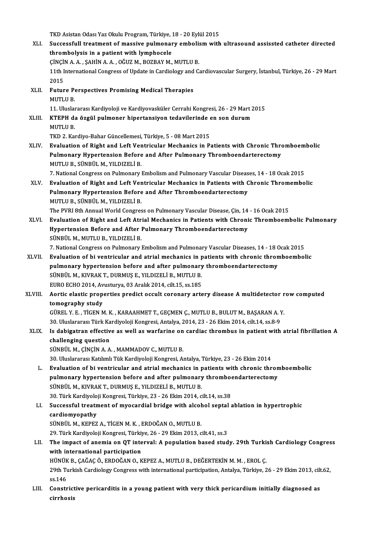TKD Asistan Odası Yaz Okulu Program, Türkiye, 18 - 20 Eylül 2015<br>Sugaasafull traatmant of maasiye nulmanary ambolism with

cirrhosis

|         | TKD Asistan Odası Yaz Okulu Program, Türkiye, 18 - 20 Eylül 2015                                                 |
|---------|------------------------------------------------------------------------------------------------------------------|
| XLI.    | Successfull treatment of massive pulmonary embolism with ultrasound assissted catheter directed                  |
|         | thrombolysis in a patient with lymphocele                                                                        |
|         | ÇİNÇİN A. A., ŞAHİN A. A., OĞUZ M., BOZBAY M., MUTLU B.                                                          |
|         | 11th International Congress of Update in Cardiology and Cardiovascular Surgery, İstanbul, Türkiye, 26 - 29 Mart  |
|         | 2015                                                                                                             |
| XLII.   | <b>Future Perspectives Promising Medical Therapies</b>                                                           |
|         | <b>MUTLUB.</b>                                                                                                   |
|         | 11. Uluslararası Kardiyoloji ve Kardiyovasküler Cerrahi Kongresi, 26 - 29 Mart 2015                              |
| XLIII.  | KTEPH da özgül pulmoner hipertansiyon tedavilerinde en son durum                                                 |
|         | <b>MUTLU B</b>                                                                                                   |
|         | TKD 2. Kardiyo-Bahar Güncellemesi, Türkiye, 5 - 08 Mart 2015                                                     |
| XLIV.   | Evaluation of Right and Left Ventricular Mechanics in Patients with Chronic Thromboembolic                       |
|         | Pulmonary Hypertension Before and After Pulmonary Thromboendarterectomy                                          |
|         | MUTLU B., SÜNBÜL M., YILDIZELİ B.                                                                                |
|         | 7. National Congress on Pulmonary Embolism and Pulmonary Vascular Diseases, 14 - 18 Ocak 2015                    |
| XLV.    | Evaluation of Right and Left Ventricular Mechanics in Patients with Chronic Thromembolic                         |
|         | Pulmonary Hypertension Before and After Thromboendarterectomy                                                    |
|         | MUTLU B., SÜNBÜL M., YILDIZELİ B.                                                                                |
|         | The PVRI 8th Annual World Congress on Pulmonary Vascular Disease, Çin, 14 - 16 Ocak 2015                         |
| XLVI.   | Evaluation of Right and Left Atrial Mechanics in Patients with Chronic Thromboembolic Pulmonary                  |
|         | Hypertension Before and After Pulmonary Thromboendarterectomy                                                    |
|         | SÜNBÜL M., MUTLU B., YILDIZELİ B.                                                                                |
|         | 7. National Congress on Pulmonary Embolism and Pulmonary Vascular Diseases, 14 - 18 Ocak 2015                    |
| XLVII.  | Evaluation of bi ventricular and atrial mechanics in patients with chronic thromboembolic                        |
|         | pulmonary hypertension before and after pulmonary thromboendarterectomy                                          |
|         | SÜNBÜL M., KIVRAK T., DURMUŞ E., YILDIZELİ B., MUTLU B.                                                          |
|         | EURO ECHO 2014, Avusturya, 03 Aralık 2014, cilt.15, ss.185                                                       |
| XLVIII. | Aortic elastic properties predict occult coronary artery disease A multidetector row computed                    |
|         | tomography study                                                                                                 |
|         | GÜREL Y. E., TİGEN M. K., KARAAHMET T., GEÇMEN Ç., MUTLU B., BULUT M., BAŞARAN A. Y.                             |
|         | 30. Uluslararası Türk Kardiyoloji Kongresi, Antalya, 2014, 23 - 26 Ekim 2014, cilt.14, ss.8-9                    |
| XLIX.   | Is dabigatran effective as well as warfarine on cardiac thrombus in patient with atrial fibrillation A           |
|         | challenging question<br>SÜNBÜL M., ÇİNÇİN A. A., MAMMADOV C., MUTLU B.                                           |
|         | 30. Uluslararası Katılımlı Tük Kardiyoloji Kongresi, Antalya, Türkiye, 23 - 26 Ekim 2014                         |
|         | Evaluation of bi ventricular and atrial mechanics in patients with chronic thromboembolic                        |
| L.      | pulmonary hypertension before and after pulmonary thromboendarterectomy                                          |
|         | SÜNBÜL M., KIVRAK T., DURMUŞ E., YILDIZELİ B., MUTLU B.                                                          |
|         | 30. Türk Kardiyoloji Kongresi, Türkiye, 23 - 26 Ekim 2014, cilt 14, ss 38                                        |
| LI.     | Successful treatment of myocardial bridge with alcohol septal ablation in hypertrophic                           |
|         | cardiomyopathy                                                                                                   |
|         | SÜNBÜL M., KEPEZ A., TİGEN M. K., ERDOĞAN O., MUTLU B.                                                           |
|         | 29. Türk Kardiyoloji Kongresi, Türkiye, 26 - 29 Ekim 2013, cilt 41, ss.3                                         |
| LII.    | The impact of anemia on QT interval: A population based study. 29th Turkish Cardiology Congress                  |
|         | with international participation                                                                                 |
|         | HÜNÜK B., ÇAĞAÇ Ö., ERDOĞAN O., KEPEZ A., MUTLU B., DEĞERTEKİN M. M., EROL Ç.                                    |
|         | 29th Turkish Cardiology Congress with international participation, Antalya, Türkiye, 26 - 29 Ekim 2013, cilt.62, |
|         | ss 146                                                                                                           |
| LIII.   | Constrictive pericarditis in a young patient with very thick pericardium initially diagnosed as                  |
|         | ainuhaaia                                                                                                        |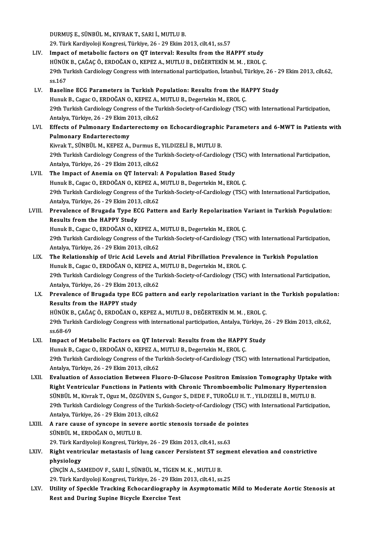DURMUŞE.,SÜNBÜLM.,KIVRAKT.,SARI İ.,MUTLUB.

29. Türk Kardiyoloji Kongresi, Türkiye, 26 - 29 Ekim 2013, cilt.41, ss.57

- LIV. Impact of metabolic factors on QT interval: Results from the HAPPY study 29. Türk Kardiyoloji Kongresi, Türkiye, 26 - 29 Ekim 2013, cilt.41, ss.57<br>Impact of metabolic factors on QT interval: Results from the HAPPY study<br>HÜNÜK B., ÇAĞAÇ Ö., ERDOĞAN O., KEPEZ A., MUTLU B., DEĞERTEKİN M. M. , EROL 29th Turkish Cardiology Congress with international participation, İstanbul, Türkiye, 26 - 29 Ekim 2013, cilt.62,<br>ss.167 HÜNÜK<br>29th Tu<br>ss.167<br>Baselir 29th Turkish Cardiology Congress with international participation, İstanbul, Türkiye, 26 - 2<br>ss.167<br>LV. Baseline ECG Parameters in Turkish Population: Results from the HAPPY Study<br>Hunyk B. Cagas O. EPDOČAN O. KEREZ A. MUTU
- ss.167<br>Baseline ECG Parameters in Turkish Population: Results from the HA<br>Hunuk B., Cagac O., ERDOĞAN O., KEPEZ A., MUTLU B., Degertekin M., EROL Ç.<br>20th Turkish Cardialagy Congress of the Turkish Sosiaty of Cardialagy (TS 29th Turkish Cardiology Congress of the Turkish-Society-of-Cardiology (TSC) with International Participation,<br>Antalya, Türkiye, 26 - 29 Ekim 2013, cilt.62 Hunuk B., Cagac O., ERDOĞAN O., KEPEZ A., MUTLU B., Degertekin M., EROL C. 29th Turkish Cardiology Congress of the Turkish-Society-of-Cardiology (TSC) with International Participation,<br>Antalya, Türkiye, 26 - 29 Ekim 2013, cilt.62<br>LVI. Effects of Pulmonary Endarterectomy on Echocardiographic Param
- Antalya, Türkiye, 26 29 Ekim 2<br>Effects of Pulmonary Endart<br>Pulmonary Endarterectomy<br><sup>Virmol: T.</sup> SÜNPÜL M. KEDEZ A Effects of Pulmonary Endarterectomy on Echocardiographic<br>Pulmonary Endarterectomy<br>Kivrak T., SÜNBÜL M., KEPEZ A., Durmus E., YILDIZELİ B., MUTLU B.<br>20th Turkish Cardiolagy Congress of the Turkish Sosisty of Cardiol

Pulmonary Endarterectomy<br>Kivrak T., SÜNBÜL M., KEPEZ A., Durmus E., YILDIZELİ B., MUTLU B.<br>29th Turkish Cardiology Congress of the Turkish-Society-of-Cardiology (TSC) with International Participation,<br>Antalya Türkiye 26, 2 Kivrak T., SÜNBÜL M., KEPEZ A., Durmus E.,<br>29th Turkish Cardiology Congress of the Tu<br>Antalya, Türkiye, 26 - 29 Ekim 2013, cilt.62<br>The Impact of Anamia an OT Interval. 29th Turkish Cardiology Congress of the Turkish-Society-of-Cardiology ("<br>Antalya, Türkiye, 26 - 29 Ekim 2013, cilt.62<br>LVII. The Impact of Anemia on QT Interval: A Population Based Study<br>Hunuk B. Cogae O. EPDOČAN O. KEREZ A

### Antalya, Türkiye, 26 - 29 Ekim 2013, cilt.62<br>The Impact of Anemia on QT Interval: A Population Based Study<br>Hunuk B., Cagac O., ERDOĞAN O., KEPEZ A., MUTLU B., Degertekin M., EROL Ç. The Impact of Anemia on QT Interval: A Population Based Study<br>Hunuk B., Cagac O., ERDOĞAN O., KEPEZ A., MUTLU B., Degertekin M., EROL Ç.<br>29th Turkish Cardiology Congress of the Turkish-Society-of-Cardiology (TSC) with Inte Hunuk B., Cagac O., ERDOĞAN O., KEPEZ A.,<br>29th Turkish Cardiology Congress of the Tu<br>Antalya, Türkiye, 26 - 29 Ekim 2013, cilt.62<br>Prevelense of Prugade Type ECC Batte 29th Turkish Cardiology Congress of the Turkish-Society-of-Cardiology (TSC) with International Participation,<br>Antalya, Türkiye, 26 - 29 Ekim 2013, cilt.62<br>LVIII. Prevalence of Brugada Type ECG Pattern and Early Repolarizat

- Antalya, Türkiye, 26 29 Ekim 2013<br>Prevalence of Brugada Type EC<br>Results from the HAPPY Study<br>Hunuk B. Cagas O. ERDOČAN O. K Prevalence of Brugada Type ECG Pattern and Early Repolarization V<br>Results from the HAPPY Study<br>Hunuk B., Cagac O., ERDOĞAN O., KEPEZ A., MUTLU B., Degertekin M., EROL Ç.<br>20th Turkish Cardialagy Congress of the Turkish Soci Results from the HAPPY Study<br>Hunuk B., Cagac O., ERDOĞAN O., KEPEZ A., MUTLU B., Degertekin M., EROL Ç.<br>29th Turkish Cardiology Congress of the Turkish-Society-of-Cardiology (TSC) with International Participation,<br>Antalya Hunuk B., Cagac O., ERDOĞAN O., KEPEZ A.,<br>29th Turkish Cardiology Congress of the Tu<br>Antalya, Türkiye, 26 - 29 Ekim 2013, cilt.62<br>The Belationshin of Uris Asid Levels 3.
- 29th Turkish Cardiology Congress of the Turkish-Society-of-Cardiology (TSC) with International Participat<br>Antalya, Türkiye, 26 29 Ekim 2013, cilt.62<br>LIX. The Relationship of Uric Acid Levels and Atrial Fibrillation Preva Antalya, Türkiye, 26 - 29 Ekim 2013, cilt.62<br>The Relationship of Uric Acid Levels and Atrial Fibrillation Prevalen<br>Hunuk B., Cagac O., ERDOĞAN O., KEPEZ A., MUTLU B., Degertekin M., EROL Ç.<br>20th Turkish Cardialagy Congress The Relationship of Uric Acid Levels and Atrial Fibrillation Prevalence in Turkish Population<br>Hunuk B., Cagac O., ERDOĞAN O., KEPEZ A., MUTLU B., Degertekin M., EROL Ç.<br>29th Turkish Cardiology Congress of the Turkish-Socie Hunuk B., Cagac O., ERDOĞAN O., KEPEZ A.,<br>29th Turkish Cardiology Congress of the Tu<br>Antalya, Türkiye, 26 - 29 Ekim 2013, cilt.62<br>Prevelence of Prugada tune ECC patte 29th Turkish Cardiology Congress of the Turkish-Society-of-Cardiology (TSC) with International Participation,<br>Antalya, Türkiye, 26 - 29 Ekim 2013, cilt.62<br>LX. Prevalence of Brugada type ECG pattern and early repolarization
- Antalya, Türkiye, 26 29 Ekim 201:<br>Prevalence of Brugada type EC<br>Results from the HAPPY study<br>HÜNÜK P. CAČAC Ö. EPDOČAN O Prevalence of Brugada type ECG pattern and early repolarization variant in<br>Results from the HAPPY study<br>HÜNÜK B., ÇAĞAÇ Ö., ERDOĞAN O., KEPEZ A., MUTLU B., DEĞERTEKİN M. M. , EROL Ç.<br>20th Turkish Cardialagu Congress with i

Results from the HAPPY study<br>HÜNÜK B., ÇAĞAÇ Ö., ERDOĞAN O., KEPEZ A., MUTLU B., DEĞERTEKİN M. M. , EROL Ç.<br>29th Turkish Cardiology Congress with international participation, Antalya, Türkiye, 26 - 29 Ekim 2013, cilt.62,<br>8 HÜNÜK B<br>29th Turl<br>ss.68-69<br>Impect c 29th Turkish Cardiology Congress with international participation, Antalya, Türkiye, 2<br>ss.68-69<br>LXI. Impact of Metabolic Factors on QT Interval: Results from the HAPPY Study<br>Hunuk B. Cages O. EPDOČAN O. KEREZ A. MUTU B. De

# ss.68-69<br>Impact of Metabolic Factors on QT Interval: Results from the HAPPY<br>Hunuk B., Cagac O., ERDOĞAN O., KEPEZ A., MUTLU B., Degertekin M., EROL Ç.<br>20th Turkish Cardialagy Congress of the Turkish Society of Cardialagy (

LXI. Impact of Metabolic Factors on QT Interval: Results from the HAPPY Study<br>Hunuk B., Cagac O., ERDOĞAN O., KEPEZ A., MUTLU B., Degertekin M., EROL Ç.<br>29th Turkish Cardiology Congress of the Turkish-Society-of-Cardiology Hunuk B., Cagac O., ERDOĞAN O., KEPEZ A.,<br>29th Turkish Cardiology Congress of the Tu<br>Antalya, Türkiye, 26 - 29 Ekim 2013, cilt.62<br>Evaluation of Association Batween Elu 29th Turkish Cardiology Congress of the Turkish-Society-of-Cardiology (TSC) with International Participation,<br>Antalya, Türkiye, 26 - 29 Ekim 2013, cilt.62<br>LXII. Evaluation of Association Between Fluoro-D-Glucose Positron E

- Antalya, Türkiye, 26 29 Ekim 2013, cilt.62<br>Evaluation of Association Between Fluoro-D-Glucose Positron Emission Tomography Uptake wit<br>Right Ventricular Functions in Patients with Chronic Thromboembolic Pulmonary Hyperten Evaluation of Association Between Fluoro-D-Glucose Positron Emission Tomography Uptake<br>Right Ventricular Functions in Patients with Chronic Thromboembolic Pulmonary Hypertens<br>SÜNBÜL M., Kivrak T., Oguz M., ÖZGÜVEN S., Gung Right Ventricular Functions in Patients with Chronic Thromboembolic Pulmonary Hypertension<br>SÜNBÜL M., Kivrak T., Oguz M., ÖZGÜVEN S., Gungor S., DEDE F., TUROĞLU H. T. , YILDIZELİ B., MUTLU B.<br>29th Turkish Cardiology Congr SÜNBÜL M., Kivrak T., Oguz M., ÖZGÜVEN S.,<br>29th Turkish Cardiology Congress of the Tu<br>Antalya, Türkiye, 26 - 29 Ekim 2013, cilt.62<br>A rare sause of sunsene in sauere aeri 29th Turkish Cardiology Congress of the Turkish-Society-of-Cardiology (TSC)<br>Antalya, Türkiye, 26 - 29 Ekim 2013, cilt.62<br>LXIII. A rare cause of syncope in severe aortic stenosis torsade de pointes<br>SUNPULM EPDOČAN O MUTULE
- Antalya, Türkiye, 26 29 Ekim 2013,<br>A rare cause of syncope in seve:<br>SÜNBÜL M., ERDOĞAN O., MUTLU B.<br>20 Türk Kardiyeleji Kansresi Türki A rare cause of syncope in severe aortic stenosis torsade de po<br>SÜNBÜL M., ERDOĞAN O., MUTLU B.<br>29. Türk Kardiyoloji Kongresi, Türkiye, 26 - 29 Ekim 2013, cilt.41, ss.63<br>Bight ventricular metastesis of lung sancer Bergista SÜNBÜL M., ERDOĞAN O., MUTLU B.<br>29. Türk Kardiyoloji Kongresi, Türkiye, 26 - 29 Ekim 2013, cilt.41, ss.63<br>LXIV. Right ventricular metastasis of lung cancer Persistent ST segment elevation and constrictive<br>physiology

## 29. Türk Kardiyoloji Kongresi, Türkiye, 26 - 29 Ekim 2013, cilt.41, ss.63<br>Right ventricular metastasis of lung cancer Persistent ST segm<br>physiology<br>CINCIN A., SAMEDOV F., SARI İ., SÜNBÜL M., TİGEN M. K., MUTLU B. Right ventricular metastasis of lung cancer Persistent ST se<br>physiology<br>ÇİNÇİN A., SAMEDOV F., SARI İ., SÜNBÜL M., TİGEN M. K. , MUTLU B.<br>20 Türk Kandivaleji Kangresi Türkiye 26, 29 Ekim 2012 silt 41, 93

29. Türk Kardiyoloji Kongresi, Türkiye, 26 - 29 Ekim 2013, cilt.41, ss.25

CINCIN A., SAMEDOV F., SARI I., SÜNBÜL M., TIGEN M. K. , MUTLU B.<br>29. Türk Kardiyoloji Kongresi, Türkiye, 26 - 29 Ekim 2013, cilt.41, ss.25<br>28. LXV. Utility of Speckle Tracking Echocardiography in Asymptomatic Mild to Mode 29. Türk Kardiyoloji Kongresi, Türkiye, 26 - 29 Ekin<br>Utility of Speckle Tracking Echocardiography<br>Rest and During Supine Bicycle Exercise Test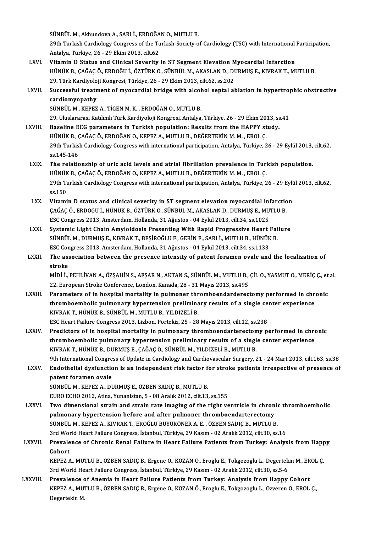SÜNBÜL M., Akhundova A., SARI İ., ERDOĞAN O., MUTLU B.

SÜNBÜL M., Akhundova A., SARI İ., ERDOĞAN O., MUTLU B.<br>29th Turkish Cardiology Congress of the Turkish-Society-of-Cardiology (TSC) with International Participation,<br>Antalya Türkiye 36, 29 Ekim 2013, silt 62. SÜNBÜL M., Akhundova A., SARI İ., ERDOĞA<br>29th Turkish Cardiology Congress of the Tu<br>Antalya, Türkiye, 26 - 29 Ekim 2013, cilt.62<br>Vitamin D. Status and Clinisal Savanity 29th Turkish Cardiology Congress of the Turkish-Society-of-Cardiology (TSC) with International<br>Antalya, Türkiye, 26 - 29 Ekim 2013, cilt.62<br>LXVI. Vitamin D Status and Clinical Severity in ST Segment Elevation Myocardial In

- Antalya, Türkiye, 26 29 Ekim 2013, cilt.62<br>Vitamin D Status and Clinical Severity in ST Segment Elevation Myocardial Infarction<br>HÜNÜK B., ÇAĞAÇ Ö., ERDOĞU İ., ÖZTÜRK O., SÜNBÜL M., AKASLAN D., DURMUŞ E., KIVRAK T., MUTLU Vitamin D Status and Clinical Severity in ST Segment Elevation M<br>HÜNÜK B., ÇAĞAÇ Ö., ERDOĞU İ., ÖZTÜRK O., SÜNBÜL M., AKASLAN D., DI<br>29. Türk Kardiyoloji Kongresi, Türkiye, 26 - 29 Ekim 2013, cilt.62, ss.202<br>Sussessful tre HÜNÜK B., ÇAĞAÇ Ö., ERDOĞU İ., ÖZTÜRK O., SÜNBÜL M., AKASLAN D., DURMUŞ E., KIVRAK T., MUTLU B.<br>29. Türk Kardiyoloji Kongresi, Türkiye, 26 - 29 Ekim 2013, cilt.62, ss.202<br>LXVII. Successful treatment of myocardial bridge wi
- 29. Türk Kardiyolo<br>Successful treatn<br>cardiomyopathy<br>SÜNPÜL M. KEPEZ Successful treatment of myocardial bridge with alcol<br>cardiomyopathy<br>SÜNBÜL M., KEPEZ A., TİGEN M. K. , ERDOĞAN O., MUTLU B.<br>20 Hluclararecı Katılımlı Türk Kardiyeleji Kansresi, Antalya cardiomyopathy<br>SÜNBÜL M., KEPEZ A., TİGEN M. K. , ERDOĞAN O., MUTLU B.<br>29. Uluslararası Katılımlı Türk Kardiyoloji Kongresi, Antalya, Türkiye, 26 - 29 Ekim 2013, ss.41<br>Baseline ECC naramatars in Turkish nopulation: Besults

- SÜNBÜL M., KEPEZ A., TİGEN M. K. , ERDOĞAN O., MUTLU B.<br>29. Uluslararası Katılımlı Türk Kardiyoloji Kongresi, Antalya, Türkiye, 26 29 Ekim 2013, ss<br>LXVIII. Baseline ECG parameters in Turkish population: Results from the 29. Uluslararası Katılımlı Türk Kardiyoloji Kongresi, Antalya, Türkiye, 26 - 29 Ekim 20.<br>Baseline ECG parameters in Turkish population: Results from the HAPPY st<br>HÜNÜK B., ÇAĞAÇ Ö., ERDOĞAN O., KEPEZ A., MUTLU B., DEĞERTEK Baseline ECG parameters in Turkish population: Results from the HAPPY study.<br>HÜNÜK B., ÇAĞAÇ Ö., ERDOĞAN O., KEPEZ A., MUTLU B., DEĞERTEKİN M. M. , EROL Ç.<br>29th Turkish Cardiology Congress with international participation, HÜNÜK B., Ç<br>29th Turkis<br>ss.145-146<br>The relatio LXIX. The relationship of uric acid levels and atrial fibril ation prevalence in Turkish population.
- ss.145-146<br>The relationship of uric acid levels and atrial fibrillation prevalence in Turl<br>HÜNÜK B., ÇAĞAÇ Ö., ERDOĞAN O., KEPEZ A., MUTLU B., DEĞERTEKİN M. M. , EROL Ç.<br>20th Turkish Cardialagu Congress with international 29th Turkish Cardiology Congress with international participation, Antalya, Türkiye, 26 - 29 Eylül 2013, cilt.62,<br>ss.150 HÜNÜK<br>29th Tu<br>ss.150<br>Vitami
- LXX. Vitamin D status and clinical severity in ST segment elevation myocardial infarction ss.150<br>Vitamin D status and clinical severity in ST segment elevation myocardial infarctio<br>ÇAĞAÇ Ö., ERDOGU İ., HÜNÜK B., ÖZTÜRK O., SÜNBÜL M., AKASLAN D., DURMUŞ E., MUTLU B.<br>ESS Congress 2012, Ameterdam Hellanda, 21 Ağus Vitamin D status and clinical severity in ST segment elevation myocardial information of the California Califor<br>CAĞAÇ Ö., ERDOGU İ., HÜNÜK B., ÖZTÜRK O., SÜNBÜL M., AKASLAN D., DURMUŞ E., MU<br>ESC Congress 2013, Amsterdam, H CAĞAÇ Ö., ERDOGU İ., HÜNÜK B., ÖZTÜRK O., SÜNBÜL M., AKASLAN D., DURMUŞ E., MUTLU B.<br>ESC Congress 2013, Amsterdam, Hollanda, 31 Ağustos - 04 Eylül 2013, cilt.34, ss.1025<br>LXXI. Systemic Light Chain Amyloidosis Presenting Wi
- ESC Congress 2013, Amsterdam, Hollanda, 31 Ağustos 04 Eylül 2013, cilt.34, ss.1025<br>Systemic Light Chain Amyloidosis Presenting With Rapid Progressive Heart Fai<br>SÜNBÜL M., DURMUŞ E., KIVRAK T., BEŞİROĞLU F., GERİN F., SAR Systemic Light Chain Amyloidosis Presenting With Rapid Progressive Heart |<br>SÜNBÜL M., DURMUŞ E., KIVRAK T., BEŞİROĞLU F., GERİN F., SARI İ., MUTLU B., HÜNÜK<br>ESC Congress 2013, Amsterdam, Hollanda, 31 Ağustos - 04 Eylül 201 ESC Congress 2013, Amsterdam, Hollanda, 31 Ağustos - 04 Eylül 2013, cilt.34, ss.1133
- LXXII. The association between the presence intensity of patent foramen ovale and the localization of stroke The association between the presence intensity of patent foramen ovale and the localization of<br>stroke<br>MİDİ İ., PEHLİVAN A., ÖZŞAHİN S., AFŞAR N., AKTAN S., SÜNBÜL M., MUTLU B., ÇİL O., YASMUT O., MERİÇ Ç., et al.<br>22. Europ

stroke<br>MİDİ İ., PEHLİVAN A., ÖZŞAHİN S., AFŞAR N., AKTAN S., SÜNBÜL M., MUTLU B.,<br>22. European Stroke Conference, London, Kanada, 28 - 31 Mayıs 2013, ss.495<br>Baramatars of in bosnital mortality in nulmanar thromboandardaras MIDI I., PEHLIVAN A., ÖZŞAHIN S., AFŞAR N., AKTAN S., SÜNBÜL M., MUTLU B., ÇIL O., YASMUT O., MERIÇ Ç., et<br>22. European Stroke Conference, London, Kanada, 28 - 31 Mayıs 2013, ss.495<br>LXXIII. Parameters of in hospital mortal

22. European Stroke Conference, London, Kanada, 28 - 31 Mayıs 2013, ss.495<br>Parameters of in hospital mortality in pulmoner thromboendarderectomy performed in chr<br>thromboembolic pulmonary hypertension preliminary results of Parameters of in hospital mortality in pulmoner thr<br>thromboembolic pulmonary hypertension prelimina<br>KIVRAK T., HÜNÜK B., SÜNBÜL M., MUTLU B., YILDIZELİ B.<br>ESC Heart Failure Congrees 2012, Lipbon Pertekiz 25, -29 thromboembolic pulmonary hypertension preliminary results of a single center experience<br>KIVRAK T., HÜNÜK B., SÜNBÜL M., MUTLU B., YILDIZELİ B.<br>ESC Heart Failure Congress 2013, Lizbon, Portekiz, 25 - 28 Mayıs 2013, cilt.12, KIVRAK T., HÜNÜK B., SÜNBÜL M., MUTLU B., YILDIZELİ B.<br>ESC Heart Failure Congress 2013, Lizbon, Portekiz, 25 - 28 Mayıs 2013, cilt.12, ss.238<br>LXXIV. Predictors of in hospital mortality in pulmonary thromboendarterectomy pe

- ESC Heart Failure Congress 2013, Lizbon, Portekiz, 25 28 Mayıs 2013, cilt.12, ss.238<br>Predictors of in hospital mortality in pulmonary thromboendarterectomy performed in chromboembolic pulmonary hypertension preliminary r thromboembolic pulmonary hypertension preliminary results of a single center experience<br>KIVRAK T., HÜNÜK B., DURMUŞ E., ÇAĞAÇ Ö., SÜNBÜL M., YILDIZELİ B., MUTLU B. thromboembolic pulmonary hypertension preliminary results of a single center experience<br>KIVRAK T., HÜNÜK B., DURMUŞ E., ÇAĞAÇ Ö., SÜNBÜL M., YILDIZELİ B., MUTLU B.<br>9th International Congress of Update in Cardiology and Car KIVRAK T., HÜNÜK B., DURMUŞ E., ÇAĞAÇ Ö., SÜNBÜL M., YILDIZELİ B., MUTLU B.<br>9th International Congress of Update in Cardiology and Cardiovascular Surgery, 21 - 24 Mart 2013, cilt.163, ss.38<br>LXXV. Endothelial dysfunctio
- **9th International Congre<br>Endothelial dysfunctic<br>patent foramen ovale<br>SÜNPÜL M. KEPEZ A. DI** Endothelial dysfunction is an independent risk factor f<br>patent foramen ovale<br>SÜNBÜL M., KEPEZ A., DURMUŞ E., ÖZBEN SADIÇ B., MUTLU B.<br>FUBO FCHO 2012, Atina Yunanistan 5, .09 Aralık 2012, silt 12. patent foramen ovale<br>SÜNBÜL M., KEPEZ A., DURMUŞ E., ÖZBEN SADIÇ B., MUTLU B.<br>EURO ECHO 2012, Atina, Yunanistan, 5 - 08 Aralık 2012, cilt.13, ss.155

- LXXVI. Two dimensional strain and strain rate imaging of the right ventricle in chronic thromboembolic EURO ECHO 2012, Atina, Yunanistan, 5 - 08 Aralık 2012, cilt.13, ss.155<br>Two dimensional strain and strain rate imaging of the right ventricle in chron<br>pulmonary hypertension before and after pulmoner thromboendarterectomy<br>s Two dimensional strain and strain rate imaging of the right ventricle in chronic<br>pulmonary hypertension before and after pulmoner thromboendarterectomy<br>SÜNBÜL M., KEPEZ A., KIVRAK T., EROĞLU BÜYÜKÖNER A. E. , ÖZBEN SADIÇ B pulmonary hypertension before and after pulmoner thromboendarterectomy<br>SÜNBÜL M., KEPEZ A., KIVRAK T., EROĞLU BÜYÜKÖNER A. E. , ÖZBEN SADIÇ B., MUTLU B.<br>3rd World Heart Failure Congress, İstanbul, Türkiye, 29 Kasım - 02 Ar SÜNBÜL M., KEPEZ A., KIVRAK T., EROĞLU BÜYÜKÖNER A. E. , ÖZBEN SADIÇ B., MUTLU B.<br>3rd World Heart Failure Congress, İstanbul, Türkiye, 29 Kasım - 02 Aralık 2012, cilt.30, ss.16<br>LXXVII. Prevalence of Chronic Renal Failu
- 3rd World Heart Failure Congress, İstanbul, Türkiye, 29 Kasım 02 Aralık 2012, cilt.30, ss.16<br>Prevalence of Chronic Renal Failure in Heart Failure Patients from Turkey: Analy<br>Cohort Prevalence of Chronic Renal Failure in Heart Failure Patients from Turkey: Analysis from Happ<br>Cohort<br>KEPEZ A., MUTLU B., ÖZBEN SADIÇ B., Ergene O., KOZAN Ö., Eroglu E., Tokgozoglu L., Degertekin M., EROL Ç.<br>2nd World Heart

3rd World Heart Failure Congress, İstanbul, Türkiye, 29 Kasım - 02 Aralık 2012, cilt.30, ss.5-6<br>Prevalence of Anemia in Heart Failure Patients from Turkey: Analysis from Happy Cohort KEPEZ A., MUTLU B., ÖZBEN SADIÇ B., Ergene O., KOZAN Ö., Eroglu E., Tokgozoglu L., Degertekin M., EROL Ç.<br>3rd World Heart Failure Congress, İstanbul, Türkiye, 29 Kasım - 02 Aralık 2012, cilt.30, ss.5-6<br>LXXVIII. Prevale

3rd World Heart Failure Congress, İstanbul, Türkiye, 29 Kasım - 02 Aralık 2012, cilt.30, ss.5-6<br>Prevalence of Anemia in Heart Failure Patients from Turkey: Analysis from Happy Cohort<br>KEPEZ A., MUTLU B., ÖZBEN SADIÇ B., Erg Prevalence c<br>KEPEZ A., MU'<br>Degertekin M.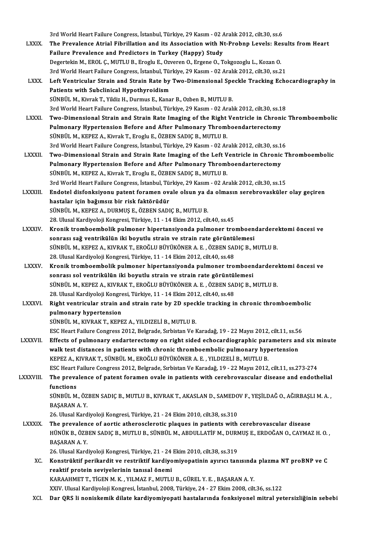3rd World Heart Failure Congress, İstanbul, Türkiye, 29 Kasım - 02 Aralık 2012, cilt.30, ss.6<br>The Prevelance Atrial Fibrilletien and its Association with Nt Prehnn Levels: Pea LXXIX. The Prevalence Atrial Fibrillation and its Association with Nt-Probnp Levels: Results from Heart<br>Failure Prevalence and Predictors in Turkey (Happy) Study 3rd World Heart Failure Congress, İstanbul, Türkiye, 29 Kasım - 02 A<br>The Prevalence Atrial Fibrillation and its Association with N<br>Failure Prevalence and Predictors in Turkey (Happy) Study<br>Desemblin M. EPOL G. MUTULE Execu DegertekinM.,EROL Ç.,MUTLUB.,ErogluE.,OzverenO.,ErgeneO.,Tokgozoglu L.,KozanO. Failure Prevalence and Predictors in Turkey (Happy) Study<br>Degertekin M., EROL Ç., MUTLU B., Eroglu E., Ozveren O., Ergene O., Tokgozoglu L., Kozan O.<br>3rd World Heart Failure Congress, İstanbul, Türkiye, 29 Kasım - 02 Aralı Degertekin M., EROL Ç., MUTLU B., Eroglu E., Ozveren O., Ergene O., Tokgozoglu L., Kozan O.<br>3rd World Heart Failure Congress, İstanbul, Türkiye, 29 Kasım - 02 Aralık 2012, cilt.30, ss.21<br>LXXX. Left Ventricular Strain a 3rd World Heart Failure Congress, İstanbul, Tür<br>Left Ventricular Strain and Strain Rate by<br>Patients with Subclinical Hypothyroidism<br>SÜNPÜLM, Kivrek T. Vildiz H. Durmus E. Kana Left Ventricular Strain and Strain Rate by Two-Dimensional Spe<br>Patients with Subclinical Hypothyroidism<br>SÜNBÜL M., Kivrak T., Yildiz H., Durmus E., Kanar B., Ozben B., MUTLU B.<br>2rd World Heart Failure Congress, Istanbul Tü Patients with Subclinical Hypothyroidism<br>30. Sünbül M., Kivrak T., Yildiz H., Durmus E., Kanar B., Ozben B., MUTLU B.<br>3rd World Heart Failure Congress, İstanbul, Türkiye, 29 Kasım - 02 Aralık 2012, cilt.30, ss.18 SÜNBÜL M., Kivrak T., Yildiz H., Durmus E., Kanar B., Ozben B., MUTLU B.<br>3rd World Heart Failure Congress, İstanbul, Türkiye, 29 Kasım - 02 Aralık 2012, cilt.30, ss.18<br>LXXXI. Two-Dimensional Strain and Strain Rate Imag 3rd World Heart Failure Congress, İstanbul, Türkiye, 29 Kasım - 02 Aralık 2012, cilt.30, ss.1<br>Two-Dimensional Strain and Strain Rate Imaging of the Right Ventricle in Chroni<br>Pulmonary Hypertension Before and After Pulmonar Two-Dimensional Strain and Strain Rate Imaging of the Right<br>Pulmonary Hypertension Before and After Pulmonary Throm<br>SÜNBÜL M., KEPEZ A., Kivrak T., Eroglu E., ÖZBEN SADIÇ B., MUTLU B.<br>2nd World Heart Failure Congress, İsta Pulmonary Hypertension Before and After Pulmonary Thromboendarterectomy<br>SÜNBÜL M., KEPEZ A., Kivrak T., Eroglu E., ÖZBEN SADIÇ B., MUTLU B.<br>3rd World Heart Failure Congress, İstanbul, Türkiye, 29 Kasım - 02 Aralık 2012, ci SÜNBÜL M., KEPEZ A., Kivrak T., Eroglu E., ÖZBEN SADIÇ B., MUTLU B.<br>3rd World Heart Failure Congress, İstanbul, Türkiye, 29 Kasım - 02 Aralık 2012, cilt.30, ss.16<br>LXXXII. Two-Dimensional Strain and Strain Rate Imaging 3rd World Heart Failure Congress, İstanbul, Türkiye, 29 Kasım - 02 Aralık 2012, cilt.30, ss.1<br>Two-Dimensional Strain and Strain Rate Imaging of the Left Ventricle in Chronic<br>Pulmonary Hypertension Before and After Pulmonar Pulmonary Hypertension Before and After Pulmonary Thromboendarterectomy<br>SÜNBÜL M., KEPEZ A., Kivrak T., Eroglu E., ÖZBEN SADIÇ B., MUTLU B. Pulmonary Hypertension Before and After Pulmonary Thromboendarterectomy<br>SÜNBÜL M., KEPEZ A., Kivrak T., Eroglu E., ÖZBEN SADIÇ B., MUTLU B.<br>3rd World Heart Failure Congress, İstanbul, Türkiye, 29 Kasım - 02 Aralık 2012, ci LXXXIII. Endotel disfonksiyonu patent foramen ovale olsun ya da olmasın serebrovasküler olay geçiren<br>hastalar için bağımsız bir risk faktörüdür 3rd World Heart Failure Congress, İstanbul, Tü:<br>Endotel disfonksiyonu patent foramen ov:<br>hastalar için bağımsız bir risk faktörüdür<br>SÜNPÜL M. KEREZ A. DURMUS E. ÖZPEN SADI SÜNBÜL M., KEPEZ A., DURMUŞ E., ÖZBEN SADIÇ B., MUTLU B. 28. Ulusal Kardiyoloji Kongresi, Türkiye, 11 - 14 Ekim 2012, cilt.40, ss.45 LXXXIV. Kronik tromboembolik pulmoner hipertansiyonda pulmoner tromboendarderektomi öncesi ve 28. Ulusal Kardiyoloji Kongresi, Türkiye, 11 - 14 Ekim 2012, cilt.40, ss.45<br>Kronik tromboembolik pulmoner hipertansiyonda pulmoner tromboen<br>sonrası sağ ventrikülün iki boyutlu strain ve strain rate görüntülemesi<br>sünpül M. SÜNBÜL M., KEPEZ A., KIVRAK T., EROĞLU BÜYÜKÖNER A. E. , ÖZBEN SADIÇ B., MUTLU B.<br>28. Ulusal Kardiyoloji Kongresi, Türkiye, 11 - 14 Ekim 2012, cilt.40, ss.48 sonrası sağ ventrikülün iki boyutlu strain ve strain rate görüntü<br>SÜNBÜL M., KEPEZ A., KIVRAK T., EROĞLU BÜYÜKÖNER A. E. , ÖZBEN SAI<br>28. Ulusal Kardiyoloji Kongresi, Türkiye, 11 - 14 Ekim 2012, cilt.40, ss.48<br>Kronik trombo SÜNBÜL M., KEPEZ A., KIVRAK T., EROĞLU BÜYÜKÖNER A. E. , ÖZBEN SADIÇ B., MUTLU B.<br>28. Ulusal Kardiyoloji Kongresi, Türkiye, 11 - 14 Ekim 2012, cilt.40, ss.48<br>LXXXV. Kronik tromboembolik pulmoner hipertansiyonda pulmone 28. Ulusal Kardiyoloji Kongresi, Türkiye, 11 - 14 Ekim 2012, cilt.40, ss.48<br>Kronik tromboembolik pulmoner hipertansiyonda pulmoner tromboen<br>sonrası sol ventrikülün iki boyutlu strain ve strain rate görüntülemesi<br>sünpül M. Kronik tromboembolik pulmoner hipertansiyonda pulmoner tromboendardere<br>sonrası sol ventrikülün iki boyutlu strain ve strain rate görüntülemesi<br>SÜNBÜL M., KEPEZ A., KIVRAK T., EROĞLU BÜYÜKÖNER A. E. , ÖZBEN SADIÇ B., MUTLU sonrası sol ventrikülün iki boyutlu strain ve strain rate görüntül<br>SÜNBÜL M., KEPEZ A., KIVRAK T., EROĞLU BÜYÜKÖNER A. E. , ÖZBEN SAl<br>28. Ulusal Kardiyoloji Kongresi, Türkiye, 11 - 14 Ekim 2012, cilt.40, ss.48<br>Bisht ventri SÜNBÜL M., KEPEZ A., KIVRAK T., EROĞLU BÜYÜKÖNER A. E. , ÖZBEN SADIÇ B., MUTLU B.<br>28. Ulusal Kardiyoloji Kongresi, Türkiye, 11 - 14 Ekim 2012, cilt.40, ss.48<br>LXXXVI. Right ventricular strain and strain rate by 2D speck 28. Ulusal Kardiyoloji Kongre<br>Right ventricular strain a<br>pulmonary hypertension<br>SÜNPÜL M. KUUPAK T. KERE SÜNBÜL M., KIVRAK T., KEPEZ A., YILDIZELİ B., MUTLU B. pulmonary hypertension<br>SÜNBÜL M., KIVRAK T., KEPEZ A., YILDIZELİ B., MUTLU B.<br>ESC Heart Failure Congress 2012, Belgrade, Sırbistan Ve Karadağ, 19 - 22 Mayıs 2012, cilt.11, ss.56<br>Effecta of nulmonowy ondantaneatemy on night SÜNBÜL M., KIVRAK T., KEPEZ A., YILDIZELİ B., MUTLU B.<br>ESC Heart Failure Congress 2012, Belgrade, Sırbistan Ve Karadağ, 19 - 22 Mayıs 2012, cilt.11, ss.56<br>LXXXVII. Effects of pulmonary endarterectomy on right sided echocar ESC Heart Failure Congress 2012, Belgrade, Sırbistan Ve Karadağ, 19 - 22 Mayıs 2012, cilt.11, ss.56<br>Effects of pulmonary endarterectomy on right sided echocardiographic parameters an<br>walk test distances in patients with ch Effects of pulmonary endarterectomy on right sided echocardiographic para<br>walk test distances in patients with chronic thromboembolic pulmonary hyp<br>KEPEZ A., KIVRAK T., SÜNBÜL M., EROĞLU BÜYÜKÖNER A. E. , YILDIZELİ B., MUT walk test distances in patients with chronic thromboembolic pulmonary hypertension<br>KEPEZ A., KIVRAK T., SÜNBÜL M., EROĞLU BÜYÜKÖNER A. E. , YILDIZELİ B., MUTLU B.<br>ESC Heart Failure Congress 2012, Belgrade, Sırbistan Ve Kar KEPEZ A., KIVRAK T., SÜNBÜL M., EROĞLU BÜYÜKÖNER A. E. , YILDIZELİ B., MUTLU B.<br>ESC Heart Failure Congress 2012, Belgrade, Sırbistan Ve Karadağ, 19 - 22 Mayıs 2012, cilt.11, ss.273-274<br>LXXXVIII. The prevalence of paten ESC Heart<br>The preva<br>functions<br>sünpür M The prevalence of patent foramen ovale in patients with cerebrovascular disease and endothelial<br>functions<br>SÜNBÜL M., ÖZBEN SADIÇ B., MUTLU B., KIVRAK T., AKASLAN D., SAMEDOV F., YEŞİLDAĞ O., AĞIRBAŞLI M. A. ,<br>RASARAN A Y functions<br>SÜNBÜL M., ÖZBEN SADIÇ B., MUTLU B., KIVRAK T., AKASLAN D., SAMEDOV F., YEŞİLDAĞ O., AĞIRBAŞLI M. A. ,<br>BAŞARAN A. Y. 26.UlusalKardiyolojiKongresi,Türkiye,21 -24Ekim2010, cilt.38, ss.310 BAŞARAN A. Y.<br>26. Ulusal Kardiyoloji Kongresi, Türkiye, 21 - 24 Ekim 2010, cilt.38, ss.310<br>LXXXIX. The prevalence of aortic atherosclerotic plaques in patients with cerebrovascular disease<br>LXXXIX. The prevalence of aortic 26. Ulusal Kardiyoloji Kongresi, Türkiye, 21 - 24 Ekim 2010, cilt.38, ss.310<br>The prevalence of aortic atherosclerotic plaques in patients with cerebrovascular disease<br>HÜNÜK B., ÖZBEN SADIÇ B., MUTLU B., SÜNBÜL M., ABDULLAT The prevalen<br>HÜNÜK B., ÖZB<br>BAŞARAN A. Y.<br>26 Husel Kard HÜNÜK B., ÖZBEN SADIÇ B., MUTLU B., SÜNBÜL M., ABDULLATİF M., DURN<br>BAŞARAN A. Y.<br>26. Ulusal Kardiyoloji Kongresi, Türkiye, 21 - 24 Ekim 2010, cilt.38, ss.319<br>Konstrüktif narikandit ve restriktif kardiyemiyenətinin ayınısı BAŞARAN A. Y.<br>26. Ulusal Kardiyoloji Kongresi, Türkiye, 21 - 24 Ekim 2010, cilt.38, ss.319<br>XC. Konstrüktif perikardit ve restriktif kardiyomiyopatinin ayırıcı tanısında plazma NT proBNP ve C<br>resktif protein seviyolorin 26. Ulusal Kardiyoloji Kongresi, Türkiye, 21 - 24 Ekim 2010, cilt.38, ss.319<br>Konstrüktif perikardit ve restriktif kardiyomiyopatinin ayırıcı tanısında<br>reaktif protein seviyelerinin tanısal önemi<br>KARAAHMET T., TİGEN M. K. , Konstrüktif perikardit ve restriktif kardiyomiyopatinin ayırıcı tanısında<br>reaktif protein seviyelerinin tanısal önemi<br>KARAAHMET T., TİGEN M. K. , YILMAZ F., MUTLU B., GÜREL Y. E. , BAŞARAN A. Y.<br>YYIV. Ulyal Kardiyeleji Kan XXIV.UlusalKardiyolojiKongresi, İstanbul,2008,Türkiye,24 -27Ekim2008, cilt.36, ss.122

XCI. Dar QRS li noniskemik dilate kardiyomiyopati hastalarında fonksiyonel mitral yetersizliğinin sebebi